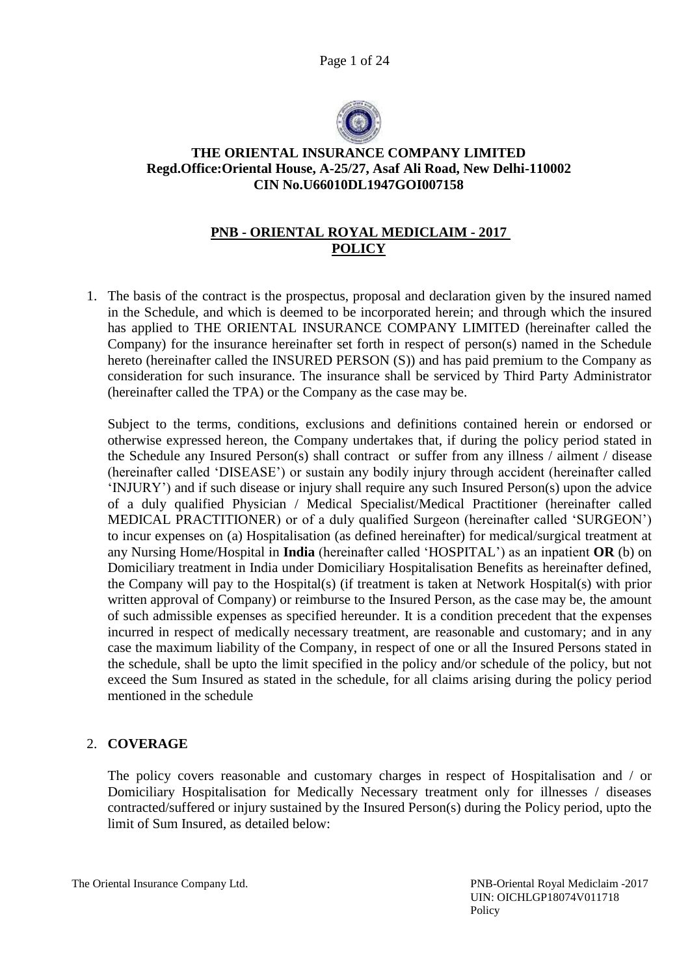Page 1 of 24



# **THE ORIENTAL INSURANCE COMPANY LIMITED Regd.Office:Oriental House, A-25/27, Asaf Ali Road, New Delhi-110002 CIN No.U66010DL1947GOI007158**

# **PNB - ORIENTAL ROYAL MEDICLAIM - 2017 POLICY**

1. The basis of the contract is the prospectus, proposal and declaration given by the insured named in the Schedule, and which is deemed to be incorporated herein; and through which the insured has applied to THE ORIENTAL INSURANCE COMPANY LIMITED (hereinafter called the Company) for the insurance hereinafter set forth in respect of person(s) named in the Schedule hereto (hereinafter called the INSURED PERSON (S)) and has paid premium to the Company as consideration for such insurance. The insurance shall be serviced by Third Party Administrator (hereinafter called the TPA) or the Company as the case may be.

Subject to the terms, conditions, exclusions and definitions contained herein or endorsed or otherwise expressed hereon, the Company undertakes that, if during the policy period stated in the Schedule any Insured Person(s) shall contract or suffer from any illness / ailment / disease (hereinafter called 'DISEASE') or sustain any bodily injury through accident (hereinafter called 'INJURY') and if such disease or injury shall require any such Insured Person(s) upon the advice of a duly qualified Physician / Medical Specialist/Medical Practitioner (hereinafter called MEDICAL PRACTITIONER) or of a duly qualified Surgeon (hereinafter called 'SURGEON') to incur expenses on (a) Hospitalisation (as defined hereinafter) for medical/surgical treatment at any Nursing Home/Hospital in **India** (hereinafter called 'HOSPITAL') as an inpatient **OR** (b) on Domiciliary treatment in India under Domiciliary Hospitalisation Benefits as hereinafter defined, the Company will pay to the Hospital(s) (if treatment is taken at Network Hospital(s) with prior written approval of Company) or reimburse to the Insured Person, as the case may be, the amount of such admissible expenses as specified hereunder. It is a condition precedent that the expenses incurred in respect of medically necessary treatment, are reasonable and customary; and in any case the maximum liability of the Company, in respect of one or all the Insured Persons stated in the schedule, shall be upto the limit specified in the policy and/or schedule of the policy, but not exceed the Sum Insured as stated in the schedule, for all claims arising during the policy period mentioned in the schedule

# 2. **COVERAGE**

The policy covers reasonable and customary charges in respect of Hospitalisation and / or Domiciliary Hospitalisation for Medically Necessary treatment only for illnesses / diseases contracted/suffered or injury sustained by the Insured Person(s) during the Policy period, upto the limit of Sum Insured, as detailed below: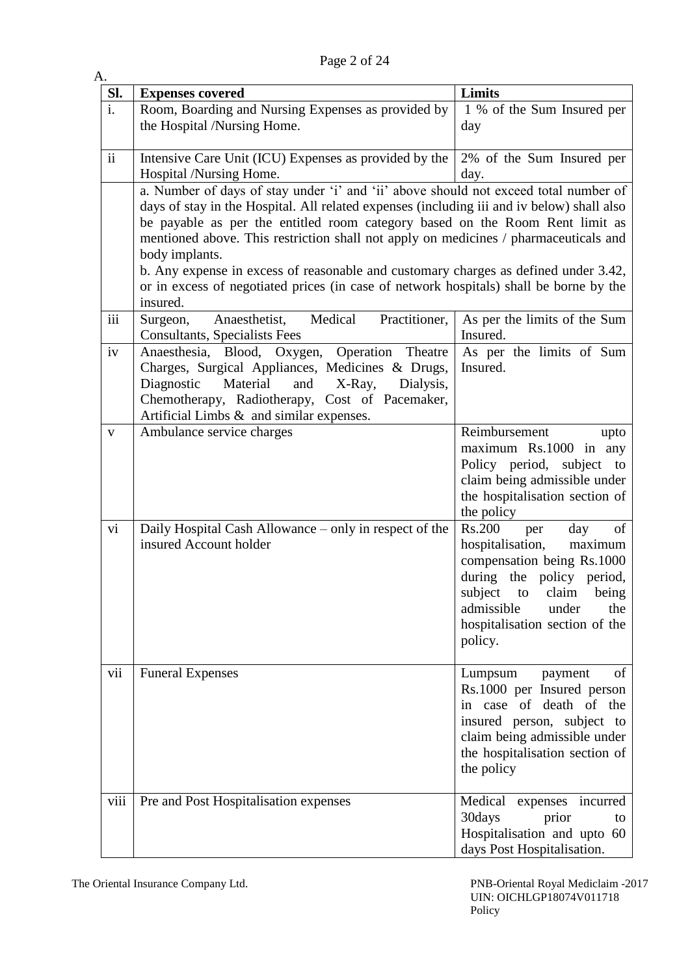Page 2 of 24

| A.             |                                                                                                                                                                                                                                                                                                                                                                                                                                                                                                                                                                           |                                                                                                                                                                                                                                           |
|----------------|---------------------------------------------------------------------------------------------------------------------------------------------------------------------------------------------------------------------------------------------------------------------------------------------------------------------------------------------------------------------------------------------------------------------------------------------------------------------------------------------------------------------------------------------------------------------------|-------------------------------------------------------------------------------------------------------------------------------------------------------------------------------------------------------------------------------------------|
| Sl.            | <b>Expenses covered</b>                                                                                                                                                                                                                                                                                                                                                                                                                                                                                                                                                   | Limits                                                                                                                                                                                                                                    |
| $\mathbf{i}$ . | Room, Boarding and Nursing Expenses as provided by<br>the Hospital /Nursing Home.                                                                                                                                                                                                                                                                                                                                                                                                                                                                                         | 1 % of the Sum Insured per<br>day                                                                                                                                                                                                         |
| $\mathbf{ii}$  | Intensive Care Unit (ICU) Expenses as provided by the<br>Hospital /Nursing Home.                                                                                                                                                                                                                                                                                                                                                                                                                                                                                          | 2% of the Sum Insured per<br>day.                                                                                                                                                                                                         |
|                | a. Number of days of stay under 'i' and 'ii' above should not exceed total number of<br>days of stay in the Hospital. All related expenses (including iii and iv below) shall also<br>be payable as per the entitled room category based on the Room Rent limit as<br>mentioned above. This restriction shall not apply on medicines / pharmaceuticals and<br>body implants.<br>b. Any expense in excess of reasonable and customary charges as defined under 3.42,<br>or in excess of negotiated prices (in case of network hospitals) shall be borne by the<br>insured. |                                                                                                                                                                                                                                           |
| iii            | Medical<br>Practitioner,<br>Anaesthetist,<br>Surgeon,<br><b>Consultants, Specialists Fees</b>                                                                                                                                                                                                                                                                                                                                                                                                                                                                             | As per the limits of the Sum<br>Insured.                                                                                                                                                                                                  |
| iv             | Anaesthesia, Blood, Oxygen,<br>Operation Theatre<br>Charges, Surgical Appliances, Medicines & Drugs,<br>Material<br>and<br>X-Ray,<br>Diagnostic<br>Dialysis,<br>Chemotherapy, Radiotherapy, Cost of Pacemaker,<br>Artificial Limbs $\&$ and similar expenses.                                                                                                                                                                                                                                                                                                             | As per the limits of Sum<br>Insured.                                                                                                                                                                                                      |
| V              | Ambulance service charges                                                                                                                                                                                                                                                                                                                                                                                                                                                                                                                                                 | Reimbursement<br>upto<br>maximum Rs.1000 in any<br>Policy period, subject to<br>claim being admissible under<br>the hospitalisation section of<br>the policy                                                                              |
| vi             | Daily Hospital Cash Allowance – only in respect of the<br>insured Account holder                                                                                                                                                                                                                                                                                                                                                                                                                                                                                          | <b>Rs.200</b><br>day<br>of<br>per<br>hospitalisation,<br>maximum<br>compensation being Rs.1000<br>during the policy period,<br>subject<br>to<br>claim<br>being<br>admissible<br>under<br>the<br>hospitalisation section of the<br>policy. |
| vii            | <b>Funeral Expenses</b>                                                                                                                                                                                                                                                                                                                                                                                                                                                                                                                                                   | of<br>Lumpsum<br>payment<br>Rs.1000 per Insured person<br>in case of death of the<br>insured person, subject to<br>claim being admissible under<br>the hospitalisation section of<br>the policy                                           |
| viii           | Pre and Post Hospitalisation expenses                                                                                                                                                                                                                                                                                                                                                                                                                                                                                                                                     | Medical<br>expenses incurred<br>30days<br>prior<br>to<br>Hospitalisation and upto 60<br>days Post Hospitalisation.                                                                                                                        |

The Oriental Insurance Company Ltd. PNB-Oriental Royal Mediclaim -2017 UIN: OICHLGP18074V011718 Policy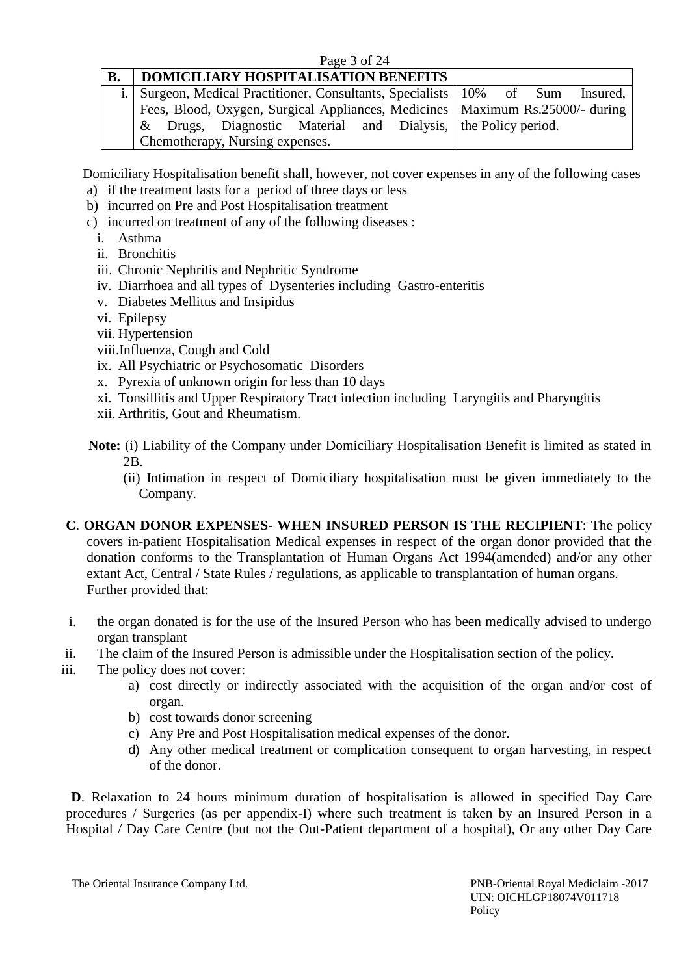### Page 3 of 24

# **B. DOMICILIARY HOSPITALISATION BENEFITS**

|  | i. Surgeon, Medical Practitioner, Consultants, Specialists 10% of Sum Insured,   |  |  |  |  |
|--|----------------------------------------------------------------------------------|--|--|--|--|
|  | Fees, Blood, Oxygen, Surgical Appliances, Medicines   Maximum Rs. 25000/- during |  |  |  |  |
|  | & Drugs, Diagnostic Material and Dialysis, the Policy period.                    |  |  |  |  |
|  | Chemotherapy, Nursing expenses.                                                  |  |  |  |  |

Domiciliary Hospitalisation benefit shall, however, not cover expenses in any of the following cases

- a) if the treatment lasts for a period of three days or less
- b) incurred on Pre and Post Hospitalisation treatment
- c) incurred on treatment of any of the following diseases :
	- i. Asthma
	- ii. Bronchitis
	- iii. Chronic Nephritis and Nephritic Syndrome
	- iv. Diarrhoea and all types of Dysenteries including Gastro-enteritis
	- v. Diabetes Mellitus and Insipidus
	- vi. Epilepsy
	- vii. Hypertension
	- viii.Influenza, Cough and Cold
	- ix. All Psychiatric or Psychosomatic Disorders
	- x. Pyrexia of unknown origin for less than 10 days
	- xi. Tonsillitis and Upper Respiratory Tract infection including Laryngitis and Pharyngitis
	- xii. Arthritis, Gout and Rheumatism.
- **Note:** (i) Liability of the Company under Domiciliary Hospitalisation Benefit is limited as stated in 2B.
	- (ii) Intimation in respect of Domiciliary hospitalisation must be given immediately to the Company.
- **C**. **ORGAN DONOR EXPENSES- WHEN INSURED PERSON IS THE RECIPIENT**: The policy covers in-patient Hospitalisation Medical expenses in respect of the organ donor provided that the donation conforms to the Transplantation of Human Organs Act 1994(amended) and/or any other extant Act, Central / State Rules / regulations, as applicable to transplantation of human organs. Further provided that:
- i. the organ donated is for the use of the Insured Person who has been medically advised to undergo organ transplant
- ii. The claim of the Insured Person is admissible under the Hospitalisation section of the policy.
- iii. The policy does not cover:
	- a) cost directly or indirectly associated with the acquisition of the organ and/or cost of organ.
	- b) cost towards donor screening
	- c) Any Pre and Post Hospitalisation medical expenses of the donor.
	- d) Any other medical treatment or complication consequent to organ harvesting, in respect of the donor.

**D**. Relaxation to 24 hours minimum duration of hospitalisation is allowed in specified Day Care procedures / Surgeries (as per appendix-I) where such treatment is taken by an Insured Person in a Hospital / Day Care Centre (but not the Out-Patient department of a hospital), Or any other Day Care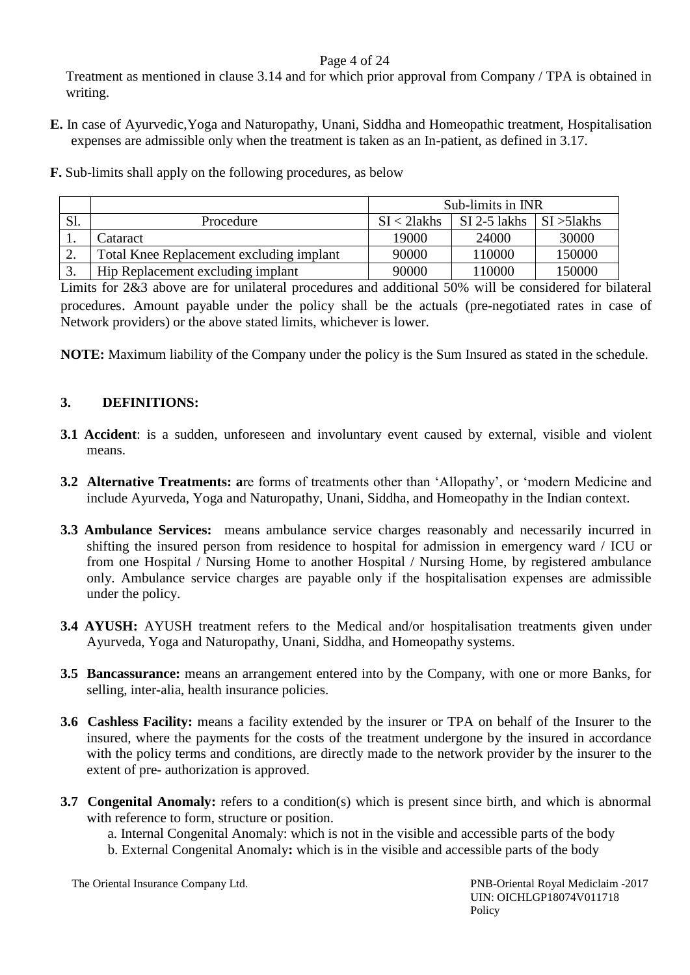## Page 4 of 24

Treatment as mentioned in clause 3.14 and for which prior approval from Company / TPA is obtained in writing.

- **E.** In case of Ayurvedic,Yoga and Naturopathy, Unani, Siddha and Homeopathic treatment, Hospitalisation expenses are admissible only when the treatment is taken as an In-patient, as defined in 3.17.
- **F.** Sub-limits shall apply on the following procedures, as below

|            |                                          | Sub-limits in INR |              |                        |  |
|------------|------------------------------------------|-------------------|--------------|------------------------|--|
| Sl.        | Procedure                                | $SI < 2$ lakhs    | SI 2-5 lakhs | $\vert$ SI $>$ 51 akhs |  |
| . .        | Cataract                                 | 19000             | 24000        | 30000                  |  |
| <u>L</u> . | Total Knee Replacement excluding implant | 90000             | 110000       | 150000                 |  |
|            | Hip Replacement excluding implant        | 90000             | 110000       | 150000                 |  |

Limits for 2&3 above are for unilateral procedures and additional 50% will be considered for bilateral procedures. Amount payable under the policy shall be the actuals (pre-negotiated rates in case of Network providers) or the above stated limits, whichever is lower.

**NOTE:** Maximum liability of the Company under the policy is the Sum Insured as stated in the schedule.

# **3. DEFINITIONS:**

- **3.1 Accident**: is a sudden, unforeseen and involuntary event caused by external, visible and violent means.
- **3.2 Alternative Treatments: a**re forms of treatments other than 'Allopathy', or 'modern Medicine and include Ayurveda, Yoga and Naturopathy, Unani, Siddha, and Homeopathy in the Indian context.
- **3.3 Ambulance Services:** means ambulance service charges reasonably and necessarily incurred in shifting the insured person from residence to hospital for admission in emergency ward / ICU or from one Hospital / Nursing Home to another Hospital / Nursing Home, by registered ambulance only. Ambulance service charges are payable only if the hospitalisation expenses are admissible under the policy.
- **3.4 AYUSH:** AYUSH treatment refers to the Medical and/or hospitalisation treatments given under Ayurveda, Yoga and Naturopathy, Unani, Siddha, and Homeopathy systems.
- **3.5 Bancassurance:** means an arrangement entered into by the Company, with one or more Banks, for selling, inter-alia, health insurance policies.
- **3.6 Cashless Facility:** means a facility extended by the insurer or TPA on behalf of the Insurer to the insured, where the payments for the costs of the treatment undergone by the insured in accordance with the policy terms and conditions, are directly made to the network provider by the insurer to the extent of pre- authorization is approved.
- **3.7 Congenital Anomaly:** refers to a condition(s) which is present since birth, and which is abnormal with reference to form, structure or position.

a. Internal Congenital Anomaly: which is not in the visible and accessible parts of the body b. External Congenital Anomaly**:** which is in the visible and accessible parts of the body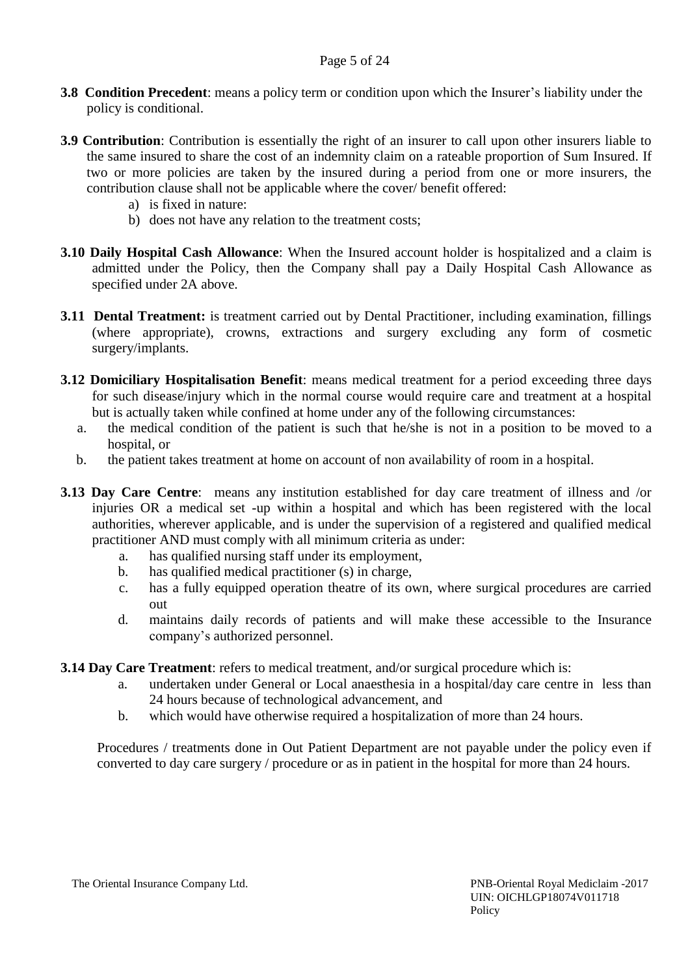- **3.8 Condition Precedent**: means a policy term or condition upon which the Insurer's liability under the policy is conditional.
- **3.9 Contribution**: Contribution is essentially the right of an insurer to call upon other insurers liable to the same insured to share the cost of an indemnity claim on a rateable proportion of Sum Insured. If two or more policies are taken by the insured during a period from one or more insurers, the contribution clause shall not be applicable where the cover/ benefit offered:
	- a) is fixed in nature:
	- b) does not have any relation to the treatment costs;
- **3.10 Daily Hospital Cash Allowance**: When the Insured account holder is hospitalized and a claim is admitted under the Policy, then the Company shall pay a Daily Hospital Cash Allowance as specified under 2A above.
- **3.11 Dental Treatment:** is treatment carried out by Dental Practitioner, including examination, fillings (where appropriate), crowns, extractions and surgery excluding any form of cosmetic surgery/implants.
- **3.12 Domiciliary Hospitalisation Benefit**: means medical treatment for a period exceeding three days for such disease/injury which in the normal course would require care and treatment at a hospital but is actually taken while confined at home under any of the following circumstances:
	- a. the medical condition of the patient is such that he/she is not in a position to be moved to a hospital, or
	- b. the patient takes treatment at home on account of non availability of room in a hospital.
- **3.13 Day Care Centre**: means any institution established for day care treatment of illness and /or injuries OR a medical set -up within a hospital and which has been registered with the local authorities, wherever applicable, and is under the supervision of a registered and qualified medical practitioner AND must comply with all minimum criteria as under:
	- a. has qualified nursing staff under its employment,
	- b. has qualified medical practitioner (s) in charge,
	- c. has a fully equipped operation theatre of its own, where surgical procedures are carried out
	- d. maintains daily records of patients and will make these accessible to the Insurance company's authorized personnel.
- **3.14 Day Care Treatment**: refers to medical treatment, and/or surgical procedure which is:
	- a. undertaken under General or Local anaesthesia in a hospital/day care centre in less than 24 hours because of technological advancement, and
	- b. which would have otherwise required a hospitalization of more than 24 hours.

Procedures / treatments done in Out Patient Department are not payable under the policy even if converted to day care surgery / procedure or as in patient in the hospital for more than 24 hours.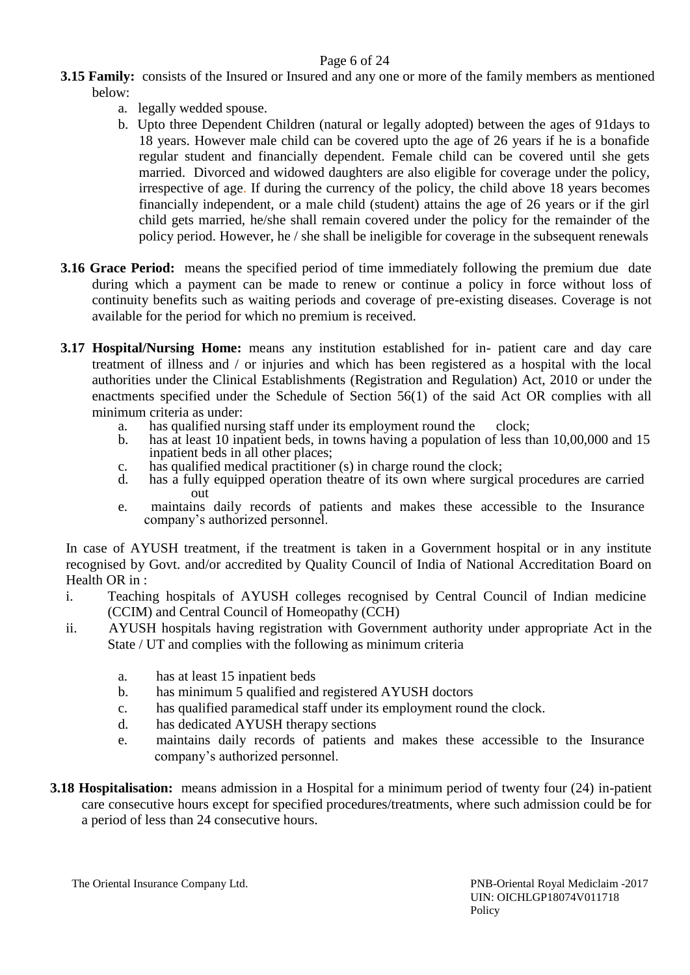## Page 6 of 24

- **3.15 Family:** consists of the Insured or Insured and any one or more of the family members as mentioned below:
	- a. legally wedded spouse.
	- b. Upto three Dependent Children (natural or legally adopted) between the ages of 91days to 18 years. However male child can be covered upto the age of 26 years if he is a bonafide regular student and financially dependent. Female child can be covered until she gets married. Divorced and widowed daughters are also eligible for coverage under the policy, irrespective of age. If during the currency of the policy, the child above 18 years becomes financially independent, or a male child (student) attains the age of 26 years or if the girl child gets married, he/she shall remain covered under the policy for the remainder of the policy period. However, he / she shall be ineligible for coverage in the subsequent renewals
- **3.16 Grace Period:** means the specified period of time immediately following the premium due date during which a payment can be made to renew or continue a policy in force without loss of continuity benefits such as waiting periods and coverage of pre-existing diseases. Coverage is not available for the period for which no premium is received.
- **3.17 Hospital/Nursing Home:** means any institution established for in- patient care and day care treatment of illness and / or injuries and which has been registered as a hospital with the local authorities under the Clinical Establishments (Registration and Regulation) Act, 2010 or under the enactments specified under the Schedule of Section 56(1) of the said Act OR complies with all minimum criteria as under:
	- a. has qualified nursing staff under its employment round the clock;
	- b. has at least 10 inpatient beds, in towns having a population of less than 10,00,000 and 15 inpatient beds in all other places;
	- c. has qualified medical practitioner (s) in charge round the clock;
	- d. has a fully equipped operation theatre of its own where surgical procedures are carried out
	- e. maintains daily records of patients and makes these accessible to the Insurance company's authorized personnel.

In case of AYUSH treatment, if the treatment is taken in a Government hospital or in any institute recognised by Govt. and/or accredited by Quality Council of India of National Accreditation Board on Health OR in :

- i. Teaching hospitals of AYUSH colleges recognised by Central Council of Indian medicine (CCIM) and Central Council of Homeopathy (CCH)
- ii. AYUSH hospitals having registration with Government authority under appropriate Act in the State / UT and complies with the following as minimum criteria
	- a. has at least 15 inpatient beds
	- b. has minimum 5 qualified and registered AYUSH doctors
	- c. has qualified paramedical staff under its employment round the clock.
	- d. has dedicated AYUSH therapy sections
	- e. maintains daily records of patients and makes these accessible to the Insurance company's authorized personnel.
- **3.18 Hospitalisation:** means admission in a Hospital for a minimum period of twenty four (24) in-patient care consecutive hours except for specified procedures/treatments, where such admission could be for a period of less than 24 consecutive hours.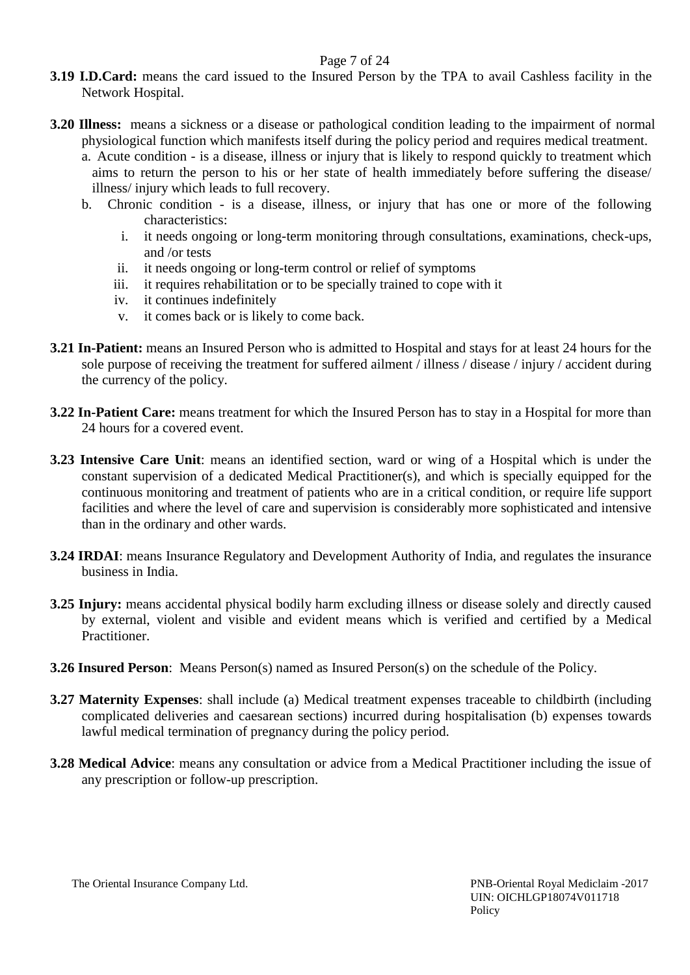## Page 7 of 24

- **3.19 I.D.Card:** means the card issued to the Insured Person by the TPA to avail Cashless facility in the Network Hospital.
- **3.20 Illness:** means a sickness or a disease or pathological condition leading to the impairment of normal physiological function which manifests itself during the policy period and requires medical treatment.
	- a. Acute condition is a disease, illness or injury that is likely to respond quickly to treatment which aims to return the person to his or her state of health immediately before suffering the disease/ illness/ injury which leads to full recovery.
	- b. Chronic condition is a disease, illness, or injury that has one or more of the following characteristics:
		- i. it needs ongoing or long-term monitoring through consultations, examinations, check-ups, and /or tests
		- ii. it needs ongoing or long-term control or relief of symptoms
		- iii. it requires rehabilitation or to be specially trained to cope with it
		- iv. it continues indefinitely
		- v. it comes back or is likely to come back.
- **3.21 In-Patient:** means an Insured Person who is admitted to Hospital and stays for at least 24 hours for the sole purpose of receiving the treatment for suffered ailment / illness / disease / injury / accident during the currency of the policy.
- **3.22 In-Patient Care:** means treatment for which the Insured Person has to stay in a Hospital for more than 24 hours for a covered event.
- **3.23 Intensive Care Unit**: means an identified section, ward or wing of a Hospital which is under the constant supervision of a dedicated Medical Practitioner(s), and which is specially equipped for the continuous monitoring and treatment of patients who are in a critical condition, or require life support facilities and where the level of care and supervision is considerably more sophisticated and intensive than in the ordinary and other wards.
- **3.24 IRDAI**: means Insurance Regulatory and Development Authority of India, and regulates the insurance business in India.
- **3.25 Injury:** means accidental physical bodily harm excluding illness or disease solely and directly caused by external, violent and visible and evident means which is verified and certified by a Medical Practitioner.
- **3.26 Insured Person**: Means Person(s) named as Insured Person(s) on the schedule of the Policy.
- **3.27 Maternity Expenses**: shall include (a) Medical treatment expenses traceable to childbirth (including complicated deliveries and caesarean sections) incurred during hospitalisation (b) expenses towards lawful medical termination of pregnancy during the policy period.
- **3.28 Medical Advice**: means any consultation or advice from a Medical Practitioner including the issue of any prescription or follow-up prescription.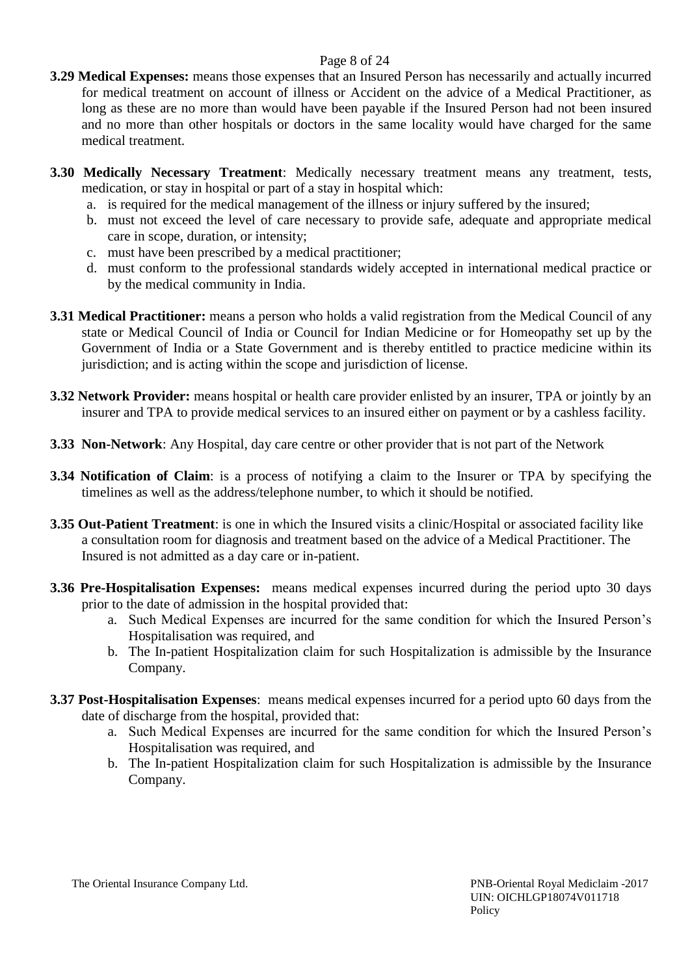## Page 8 of 24

- **3.29 Medical Expenses:** means those expenses that an Insured Person has necessarily and actually incurred for medical treatment on account of illness or Accident on the advice of a Medical Practitioner, as long as these are no more than would have been payable if the Insured Person had not been insured and no more than other hospitals or doctors in the same locality would have charged for the same medical treatment.
- **3.30 Medically Necessary Treatment**: Medically necessary treatment means any treatment, tests, medication, or stay in hospital or part of a stay in hospital which:
	- a. is required for the medical management of the illness or injury suffered by the insured;
	- b. must not exceed the level of care necessary to provide safe, adequate and appropriate medical care in scope, duration, or intensity;
	- c. must have been prescribed by a medical practitioner;
	- d. must conform to the professional standards widely accepted in international medical practice or by the medical community in India.
- **3.31 Medical Practitioner:** means a person who holds a valid registration from the Medical Council of any state or Medical Council of India or Council for Indian Medicine or for Homeopathy set up by the Government of India or a State Government and is thereby entitled to practice medicine within its jurisdiction; and is acting within the scope and jurisdiction of license.
- **3.32 Network Provider:** means hospital or health care provider enlisted by an insurer, TPA or jointly by an insurer and TPA to provide medical services to an insured either on payment or by a cashless facility.
- **3.33 Non-Network**: Any Hospital, day care centre or other provider that is not part of the Network
- **3.34 Notification of Claim**: is a process of notifying a claim to the Insurer or TPA by specifying the timelines as well as the address/telephone number, to which it should be notified.
- **3.35 Out-Patient Treatment**: is one in which the Insured visits a clinic/Hospital or associated facility like a consultation room for diagnosis and treatment based on the advice of a Medical Practitioner. The Insured is not admitted as a day care or in-patient.
- **3.36 Pre-Hospitalisation Expenses:** means medical expenses incurred during the period upto 30 days prior to the date of admission in the hospital provided that:
	- a. Such Medical Expenses are incurred for the same condition for which the Insured Person's Hospitalisation was required, and
	- b. The In-patient Hospitalization claim for such Hospitalization is admissible by the Insurance Company.
- **3.37 Post-Hospitalisation Expenses**: means medical expenses incurred for a period upto 60 days from the date of discharge from the hospital, provided that:
	- a. Such Medical Expenses are incurred for the same condition for which the Insured Person's Hospitalisation was required, and
	- b. The In-patient Hospitalization claim for such Hospitalization is admissible by the Insurance Company.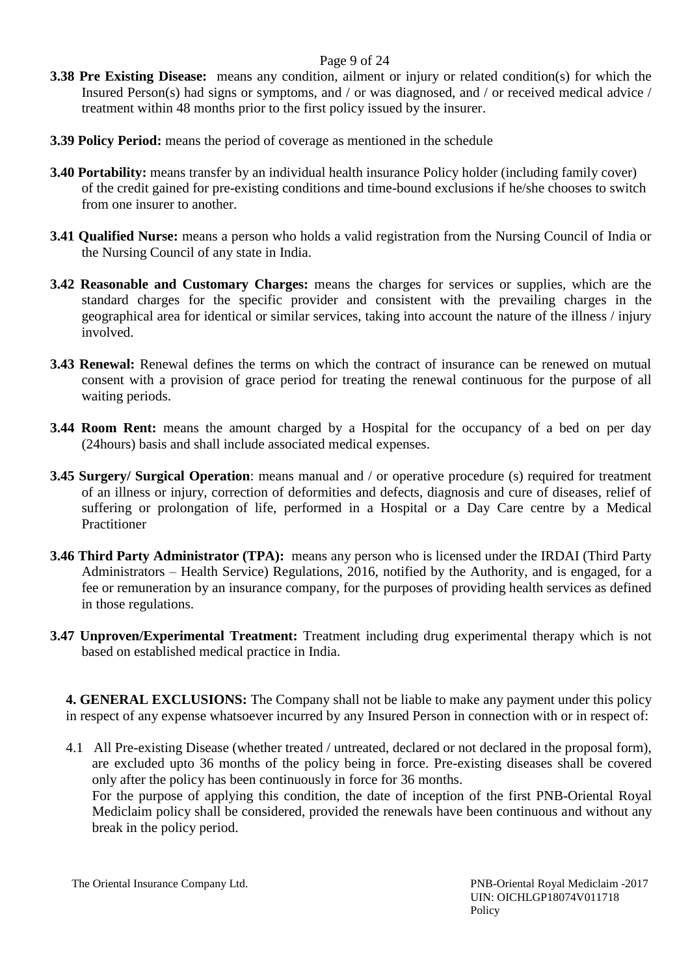## Page 9 of 24

- **3.38 Pre Existing Disease:** means any condition, ailment or injury or related condition(s) for which the Insured Person(s) had signs or symptoms, and / or was diagnosed, and / or received medical advice / treatment within 48 months prior to the first policy issued by the insurer.
- **3.39 Policy Period:** means the period of coverage as mentioned in the schedule
- **3.40 Portability:** means transfer by an individual health insurance Policy holder (including family cover) of the credit gained for pre-existing conditions and time-bound exclusions if he/she chooses to switch from one insurer to another.
- **3.41 Qualified Nurse:** means a person who holds a valid registration from the Nursing Council of India or the Nursing Council of any state in India.
- **3.42 Reasonable and Customary Charges:** means the charges for services or supplies, which are the standard charges for the specific provider and consistent with the prevailing charges in the geographical area for identical or similar services, taking into account the nature of the illness / injury involved.
- **3.43 Renewal:** Renewal defines the terms on which the contract of insurance can be renewed on mutual consent with a provision of grace period for treating the renewal continuous for the purpose of all waiting periods.
- **3.44 Room Rent:** means the amount charged by a Hospital for the occupancy of a bed on per day (24hours) basis and shall include associated medical expenses.
- **3.45 Surgery/ Surgical Operation**: means manual and / or operative procedure (s) required for treatment of an illness or injury, correction of deformities and defects, diagnosis and cure of diseases, relief of suffering or prolongation of life, performed in a Hospital or a Day Care centre by a Medical **Practitioner**
- **3.46 Third Party Administrator (TPA):** means any person who is licensed under the IRDAI (Third Party Administrators – Health Service) Regulations, 2016, notified by the Authority, and is engaged, for a fee or remuneration by an insurance company, for the purposes of providing health services as defined in those regulations.
- **3.47 Unproven/Experimental Treatment:** Treatment including drug experimental therapy which is not based on established medical practice in India.

**4. GENERAL EXCLUSIONS:** The Company shall not be liable to make any payment under this policy in respect of any expense whatsoever incurred by any Insured Person in connection with or in respect of:

4.1 All Pre-existing Disease (whether treated / untreated, declared or not declared in the proposal form), are excluded upto 36 months of the policy being in force. Pre-existing diseases shall be covered only after the policy has been continuously in force for 36 months. For the purpose of applying this condition, the date of inception of the first PNB-Oriental Royal Mediclaim policy shall be considered, provided the renewals have been continuous and without any break in the policy period.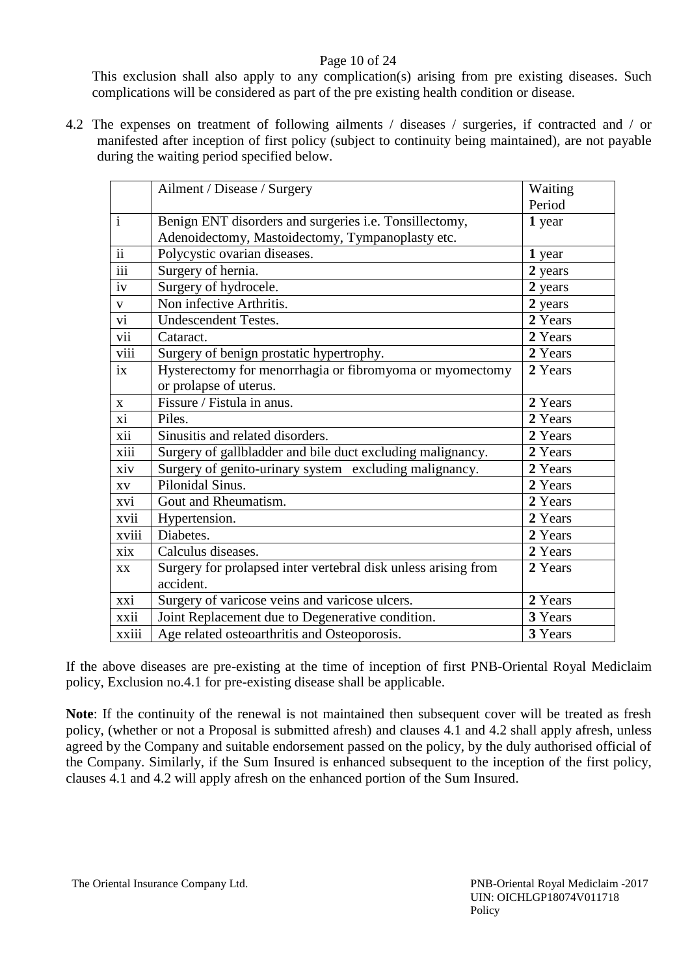## Page 10 of 24

This exclusion shall also apply to any complication(s) arising from pre existing diseases. Such complications will be considered as part of the pre existing health condition or disease.

4.2 The expenses on treatment of following ailments / diseases / surgeries, if contracted and / or manifested after inception of first policy (subject to continuity being maintained), are not payable during the waiting period specified below.

|                  | Ailment / Disease / Surgery                                    | Waiting |
|------------------|----------------------------------------------------------------|---------|
|                  |                                                                | Period  |
| $\mathbf{i}$     | Benign ENT disorders and surgeries i.e. Tonsillectomy,         | 1 year  |
|                  | Adenoidectomy, Mastoidectomy, Tympanoplasty etc.               |         |
| $\overline{ii}$  | Polycystic ovarian diseases.                                   | 1 year  |
| $\overline{iii}$ | Surgery of hernia.                                             | 2 years |
| iv               | Surgery of hydrocele.                                          | 2 years |
| $\mathbf V$      | Non infective Arthritis.                                       | 2 years |
| $\overline{vi}$  | <b>Undescendent Testes.</b>                                    | 2 Years |
| vii              | Cataract.                                                      | 2 Years |
| viii             | Surgery of benign prostatic hypertrophy.                       | 2 Years |
| ix               | Hysterectomy for menorrhagia or fibromyoma or myomectomy       | 2 Years |
|                  | or prolapse of uterus.                                         |         |
| $\mathbf{X}$     | Fissure / Fistula in anus.                                     | 2 Years |
| xi               | Piles.                                                         | 2 Years |
| xii              | Sinusitis and related disorders.                               | 2 Years |
| xiii             | Surgery of gallbladder and bile duct excluding malignancy.     | 2 Years |
| xiv              | Surgery of genito-urinary system excluding malignancy.         | 2 Years |
| XV               | Pilonidal Sinus.                                               | 2 Years |
| xvi              | Gout and Rheumatism.                                           | 2 Years |
| xvii             | Hypertension.                                                  | 2 Years |
| xviii            | Diabetes.                                                      | 2 Years |
| xix              | Calculus diseases.                                             | 2 Years |
| XX               | Surgery for prolapsed inter vertebral disk unless arising from | 2 Years |
|                  | accident.                                                      |         |
| xxi              | Surgery of varicose veins and varicose ulcers.                 | 2 Years |
| xxii             | Joint Replacement due to Degenerative condition.               | 3 Years |
| xxiii            | Age related osteoarthritis and Osteoporosis.                   | 3 Years |

If the above diseases are pre-existing at the time of inception of first PNB-Oriental Royal Mediclaim policy, Exclusion no.4.1 for pre-existing disease shall be applicable.

**Note**: If the continuity of the renewal is not maintained then subsequent cover will be treated as fresh policy, (whether or not a Proposal is submitted afresh) and clauses 4.1 and 4.2 shall apply afresh, unless agreed by the Company and suitable endorsement passed on the policy, by the duly authorised official of the Company. Similarly, if the Sum Insured is enhanced subsequent to the inception of the first policy, clauses 4.1 and 4.2 will apply afresh on the enhanced portion of the Sum Insured.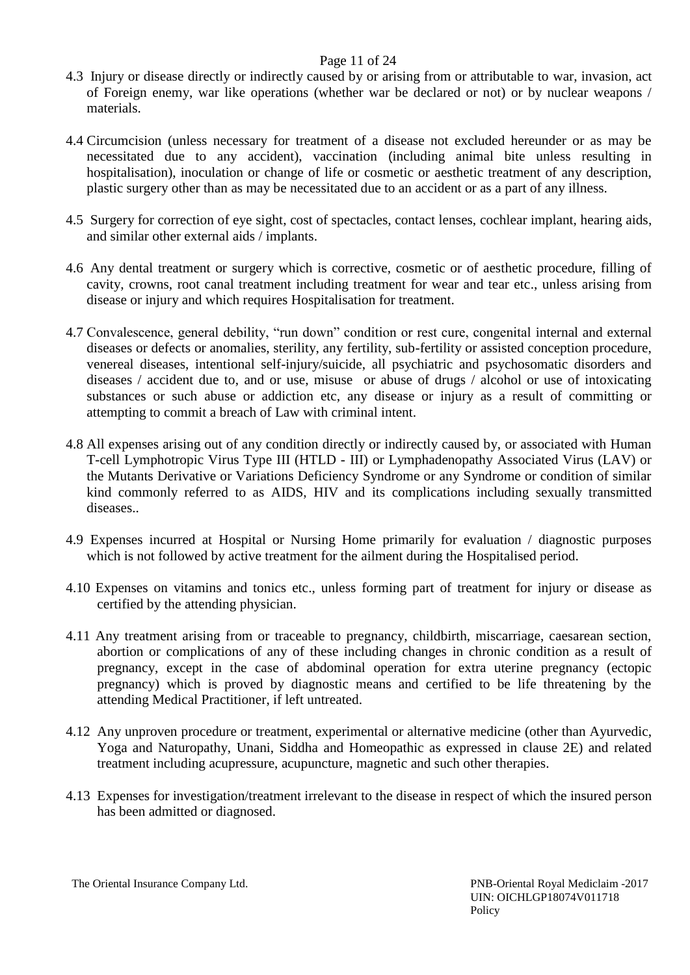## Page 11 of 24

- 4.3 Injury or disease directly or indirectly caused by or arising from or attributable to war, invasion, act of Foreign enemy, war like operations (whether war be declared or not) or by nuclear weapons / materials.
- 4.4 Circumcision (unless necessary for treatment of a disease not excluded hereunder or as may be necessitated due to any accident), vaccination (including animal bite unless resulting in hospitalisation), inoculation or change of life or cosmetic or aesthetic treatment of any description, plastic surgery other than as may be necessitated due to an accident or as a part of any illness.
- 4.5 Surgery for correction of eye sight, cost of spectacles, contact lenses, cochlear implant, hearing aids, and similar other external aids / implants.
- 4.6 Any dental treatment or surgery which is corrective, cosmetic or of aesthetic procedure, filling of cavity, crowns, root canal treatment including treatment for wear and tear etc., unless arising from disease or injury and which requires Hospitalisation for treatment.
- 4.7 Convalescence, general debility, "run down" condition or rest cure, congenital internal and external diseases or defects or anomalies, sterility, any fertility, sub-fertility or assisted conception procedure, venereal diseases, intentional self-injury/suicide, all psychiatric and psychosomatic disorders and diseases / accident due to, and or use, misuse or abuse of drugs / alcohol or use of intoxicating substances or such abuse or addiction etc, any disease or injury as a result of committing or attempting to commit a breach of Law with criminal intent.
- 4.8 All expenses arising out of any condition directly or indirectly caused by, or associated with Human T-cell Lymphotropic Virus Type III (HTLD - III) or Lymphadenopathy Associated Virus (LAV) or the Mutants Derivative or Variations Deficiency Syndrome or any Syndrome or condition of similar kind commonly referred to as AIDS, HIV and its complications including sexually transmitted diseases..
- 4.9 Expenses incurred at Hospital or Nursing Home primarily for evaluation / diagnostic purposes which is not followed by active treatment for the ailment during the Hospitalised period.
- 4.10 Expenses on vitamins and tonics etc., unless forming part of treatment for injury or disease as certified by the attending physician.
- 4.11 Any treatment arising from or traceable to pregnancy, childbirth, miscarriage, caesarean section, abortion or complications of any of these including changes in chronic condition as a result of pregnancy, except in the case of abdominal operation for extra uterine pregnancy (ectopic pregnancy) which is proved by diagnostic means and certified to be life threatening by the attending Medical Practitioner, if left untreated.
- 4.12 Any unproven procedure or treatment, experimental or alternative medicine (other than Ayurvedic, Yoga and Naturopathy, Unani, Siddha and Homeopathic as expressed in clause 2E) and related treatment including acupressure, acupuncture, magnetic and such other therapies.
- 4.13 Expenses for investigation/treatment irrelevant to the disease in respect of which the insured person has been admitted or diagnosed.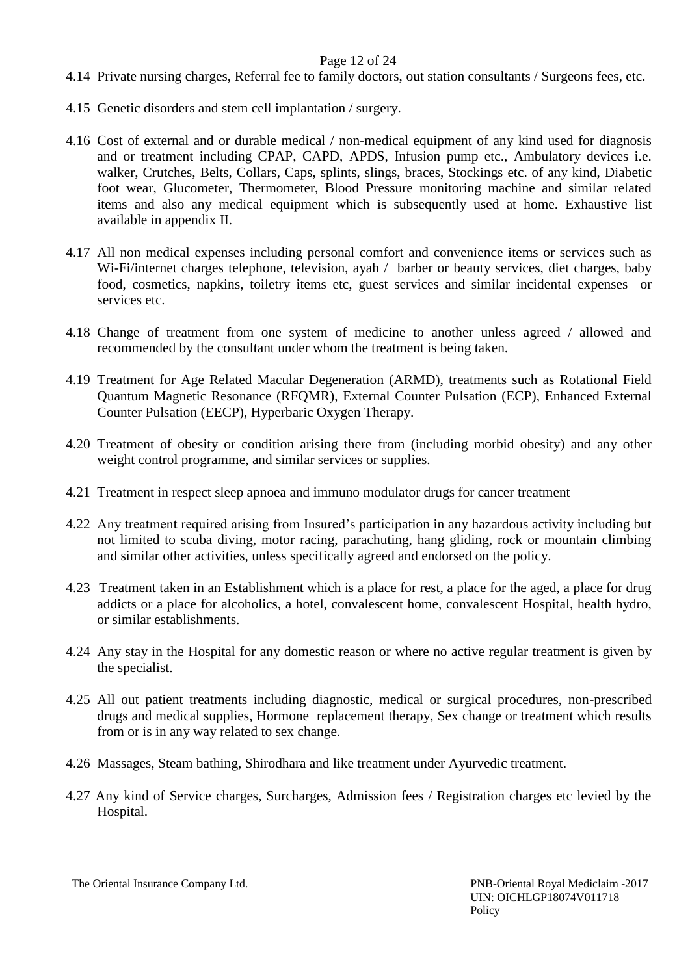### Page 12 of 24

- 4.14 Private nursing charges, Referral fee to family doctors, out station consultants / Surgeons fees, etc.
- 4.15 Genetic disorders and stem cell implantation / surgery.
- 4.16 Cost of external and or durable medical / non-medical equipment of any kind used for diagnosis and or treatment including CPAP, CAPD, APDS, Infusion pump etc., Ambulatory devices i.e. walker, Crutches, Belts, Collars, Caps, splints, slings, braces, Stockings etc. of any kind, Diabetic foot wear, Glucometer, Thermometer, Blood Pressure monitoring machine and similar related items and also any medical equipment which is subsequently used at home. Exhaustive list available in appendix II.
- 4.17 All non medical expenses including personal comfort and convenience items or services such as Wi-Fi/internet charges telephone, television, ayah / barber or beauty services, diet charges, baby food, cosmetics, napkins, toiletry items etc, guest services and similar incidental expenses or services etc.
- 4.18 Change of treatment from one system of medicine to another unless agreed / allowed and recommended by the consultant under whom the treatment is being taken.
- 4.19 Treatment for Age Related Macular Degeneration (ARMD), treatments such as Rotational Field Quantum Magnetic Resonance (RFQMR), External Counter Pulsation (ECP), Enhanced External Counter Pulsation (EECP), Hyperbaric Oxygen Therapy.
- 4.20 Treatment of obesity or condition arising there from (including morbid obesity) and any other weight control programme, and similar services or supplies.
- 4.21 Treatment in respect sleep apnoea and immuno modulator drugs for cancer treatment
- 4.22 Any treatment required arising from Insured's participation in any hazardous activity including but not limited to scuba diving, motor racing, parachuting, hang gliding, rock or mountain climbing and similar other activities, unless specifically agreed and endorsed on the policy.
- 4.23 Treatment taken in an Establishment which is a place for rest, a place for the aged, a place for drug addicts or a place for alcoholics, a hotel, convalescent home, convalescent Hospital, health hydro, or similar establishments.
- 4.24 Any stay in the Hospital for any domestic reason or where no active regular treatment is given by the specialist.
- 4.25 All out patient treatments including diagnostic, medical or surgical procedures, non-prescribed drugs and medical supplies, Hormone replacement therapy, Sex change or treatment which results from or is in any way related to sex change.
- 4.26 Massages, Steam bathing, Shirodhara and like treatment under Ayurvedic treatment.
- 4.27 Any kind of Service charges, Surcharges, Admission fees / Registration charges etc levied by the Hospital.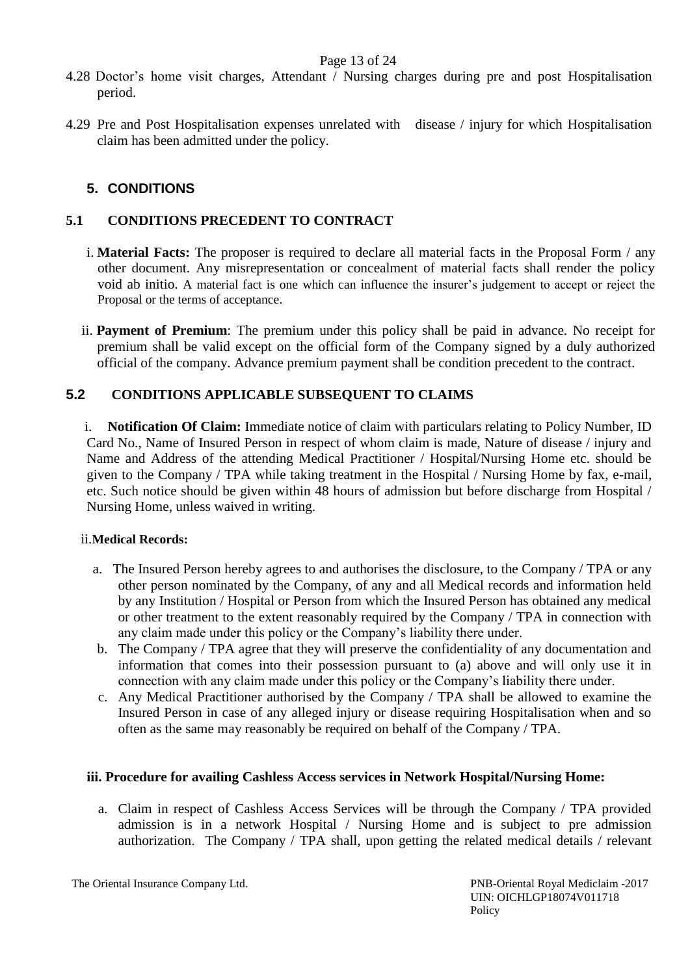### Page 13 of 24

- 4.28 Doctor's home visit charges, Attendant / Nursing charges during pre and post Hospitalisation period.
- 4.29 Pre and Post Hospitalisation expenses unrelated with disease / injury for which Hospitalisation claim has been admitted under the policy.

# **5. CONDITIONS**

# **5.1 CONDITIONS PRECEDENT TO CONTRACT**

- i. **Material Facts:** The proposer is required to declare all material facts in the Proposal Form / any other document. Any misrepresentation or concealment of material facts shall render the policy void ab initio. A material fact is one which can influence the insurer's judgement to accept or reject the Proposal or the terms of acceptance.
- ii. **Payment of Premium**: The premium under this policy shall be paid in advance. No receipt for premium shall be valid except on the official form of the Company signed by a duly authorized official of the company. Advance premium payment shall be condition precedent to the contract.

# **5.2 CONDITIONS APPLICABLE SUBSEQUENT TO CLAIMS**

i. **Notification Of Claim:** Immediate notice of claim with particulars relating to Policy Number, ID Card No., Name of Insured Person in respect of whom claim is made, Nature of disease / injury and Name and Address of the attending Medical Practitioner / Hospital/Nursing Home etc. should be given to the Company / TPA while taking treatment in the Hospital / Nursing Home by fax, e-mail, etc. Such notice should be given within 48 hours of admission but before discharge from Hospital / Nursing Home, unless waived in writing.

### ii.**Medical Records:**

- a. The Insured Person hereby agrees to and authorises the disclosure, to the Company / TPA or any other person nominated by the Company, of any and all Medical records and information held by any Institution / Hospital or Person from which the Insured Person has obtained any medical or other treatment to the extent reasonably required by the Company / TPA in connection with any claim made under this policy or the Company's liability there under.
- b. The Company / TPA agree that they will preserve the confidentiality of any documentation and information that comes into their possession pursuant to (a) above and will only use it in connection with any claim made under this policy or the Company's liability there under.
- c. Any Medical Practitioner authorised by the Company / TPA shall be allowed to examine the Insured Person in case of any alleged injury or disease requiring Hospitalisation when and so often as the same may reasonably be required on behalf of the Company / TPA.

### **iii. Procedure for availing Cashless Access services in Network Hospital/Nursing Home:**

a. Claim in respect of Cashless Access Services will be through the Company / TPA provided admission is in a network Hospital / Nursing Home and is subject to pre admission authorization. The Company / TPA shall, upon getting the related medical details / relevant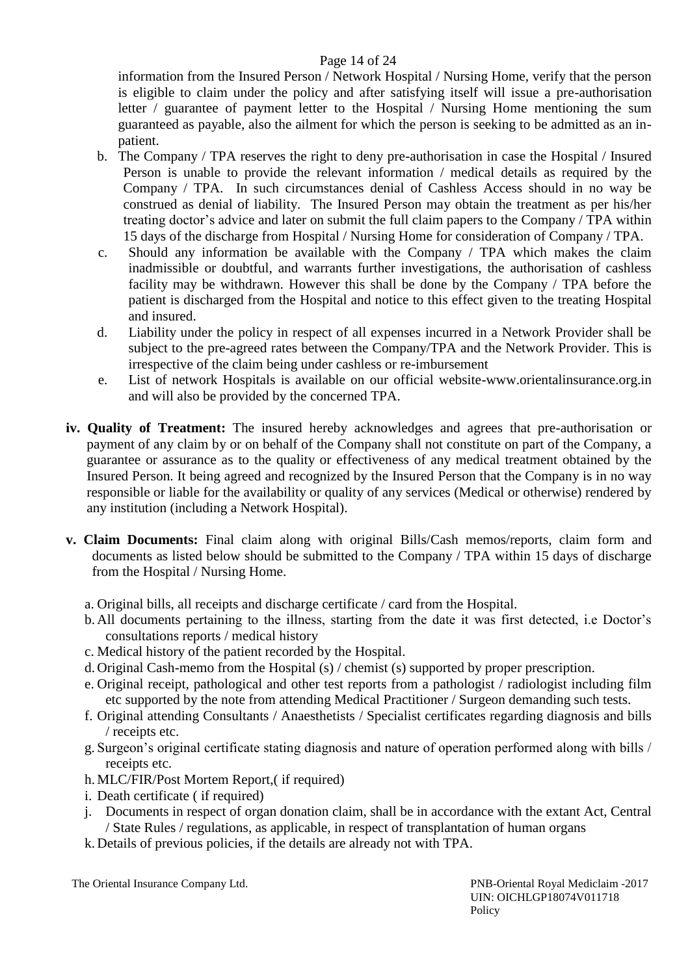# Page 14 of 24

information from the Insured Person / Network Hospital / Nursing Home, verify that the person is eligible to claim under the policy and after satisfying itself will issue a pre-authorisation letter / guarantee of payment letter to the Hospital / Nursing Home mentioning the sum guaranteed as payable, also the ailment for which the person is seeking to be admitted as an inpatient.

- b. The Company / TPA reserves the right to deny pre-authorisation in case the Hospital / Insured Person is unable to provide the relevant information / medical details as required by the Company / TPA. In such circumstances denial of Cashless Access should in no way be construed as denial of liability. The Insured Person may obtain the treatment as per his/her treating doctor's advice and later on submit the full claim papers to the Company / TPA within 15 days of the discharge from Hospital / Nursing Home for consideration of Company / TPA.
- c. Should any information be available with the Company / TPA which makes the claim inadmissible or doubtful, and warrants further investigations, the authorisation of cashless facility may be withdrawn. However this shall be done by the Company / TPA before the patient is discharged from the Hospital and notice to this effect given to the treating Hospital and insured.
- d. Liability under the policy in respect of all expenses incurred in a Network Provider shall be subject to the pre-agreed rates between the Company/TPA and the Network Provider. This is irrespective of the claim being under cashless or re-imbursement
- e. List of network Hospitals is available on our official website-www.orientalinsurance.org.in and will also be provided by the concerned TPA.
- **iv. Quality of Treatment:** The insured hereby acknowledges and agrees that pre-authorisation or payment of any claim by or on behalf of the Company shall not constitute on part of the Company, a guarantee or assurance as to the quality or effectiveness of any medical treatment obtained by the Insured Person. It being agreed and recognized by the Insured Person that the Company is in no way responsible or liable for the availability or quality of any services (Medical or otherwise) rendered by any institution (including a Network Hospital).
- **v. Claim Documents:** Final claim along with original Bills/Cash memos/reports, claim form and documents as listed below should be submitted to the Company / TPA within 15 days of discharge from the Hospital / Nursing Home.
	- a. Original bills, all receipts and discharge certificate / card from the Hospital.
	- b. All documents pertaining to the illness, starting from the date it was first detected, i.e Doctor's consultations reports / medical history
	- c. Medical history of the patient recorded by the Hospital.
	- d. Original Cash-memo from the Hospital (s) / chemist (s) supported by proper prescription.
	- e. Original receipt, pathological and other test reports from a pathologist / radiologist including film etc supported by the note from attending Medical Practitioner / Surgeon demanding such tests.
	- f. Original attending Consultants / Anaesthetists / Specialist certificates regarding diagnosis and bills / receipts etc.
	- g. Surgeon's original certificate stating diagnosis and nature of operation performed along with bills / receipts etc.
	- h. MLC/FIR/Post Mortem Report,( if required)
	- i. Death certificate ( if required)
	- j. Documents in respect of organ donation claim, shall be in accordance with the extant Act, Central / State Rules / regulations, as applicable, in respect of transplantation of human organs
	- k. Details of previous policies, if the details are already not with TPA.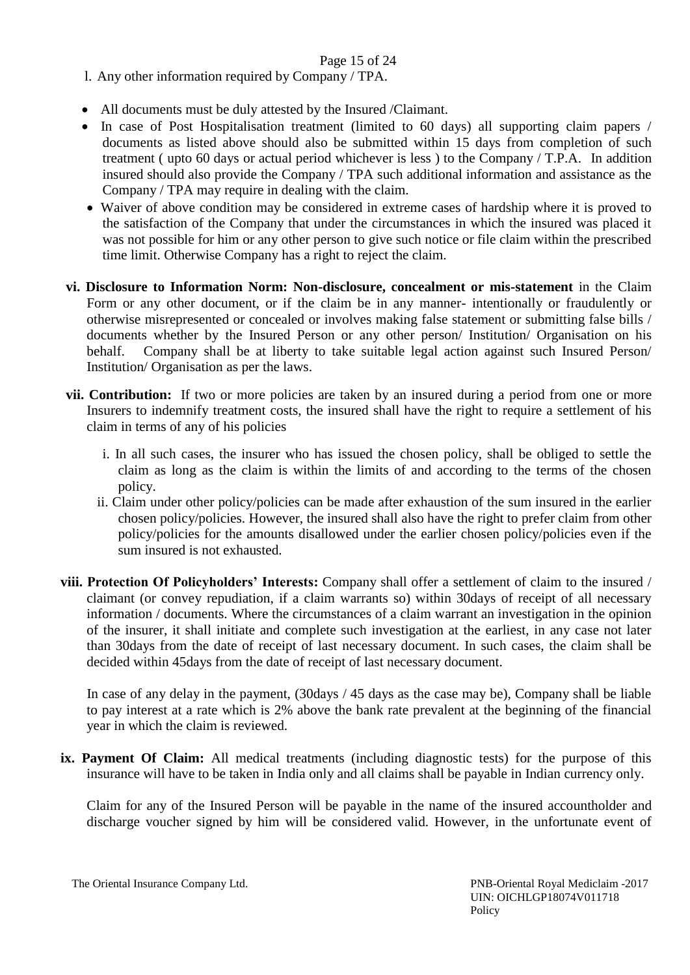## Page 15 of 24

- l. Any other information required by Company / TPA.
- All documents must be duly attested by the Insured /Claimant.
- In case of Post Hospitalisation treatment (limited to 60 days) all supporting claim papers / documents as listed above should also be submitted within 15 days from completion of such treatment ( upto 60 days or actual period whichever is less ) to the Company / T.P.A. In addition insured should also provide the Company / TPA such additional information and assistance as the Company / TPA may require in dealing with the claim.
- Waiver of above condition may be considered in extreme cases of hardship where it is proved to the satisfaction of the Company that under the circumstances in which the insured was placed it was not possible for him or any other person to give such notice or file claim within the prescribed time limit. Otherwise Company has a right to reject the claim.
- **vi. Disclosure to Information Norm: Non-disclosure, concealment or mis-statement** in the Claim Form or any other document, or if the claim be in any manner- intentionally or fraudulently or otherwise misrepresented or concealed or involves making false statement or submitting false bills / documents whether by the Insured Person or any other person/ Institution/ Organisation on his behalf. Company shall be at liberty to take suitable legal action against such Insured Person/ Institution/ Organisation as per the laws.
- **vii. Contribution:** If two or more policies are taken by an insured during a period from one or more Insurers to indemnify treatment costs, the insured shall have the right to require a settlement of his claim in terms of any of his policies
	- i. In all such cases, the insurer who has issued the chosen policy, shall be obliged to settle the claim as long as the claim is within the limits of and according to the terms of the chosen policy.
	- ii. Claim under other policy/policies can be made after exhaustion of the sum insured in the earlier chosen policy/policies. However, the insured shall also have the right to prefer claim from other policy/policies for the amounts disallowed under the earlier chosen policy/policies even if the sum insured is not exhausted.
- **viii. Protection Of Policyholders' Interests:** Company shall offer a settlement of claim to the insured / claimant (or convey repudiation, if a claim warrants so) within 30days of receipt of all necessary information / documents. Where the circumstances of a claim warrant an investigation in the opinion of the insurer, it shall initiate and complete such investigation at the earliest, in any case not later than 30days from the date of receipt of last necessary document. In such cases, the claim shall be decided within 45days from the date of receipt of last necessary document.

 In case of any delay in the payment, (30days / 45 days as the case may be), Company shall be liable to pay interest at a rate which is 2% above the bank rate prevalent at the beginning of the financial year in which the claim is reviewed.

**ix. Payment Of Claim:** All medical treatments (including diagnostic tests) for the purpose of this insurance will have to be taken in India only and all claims shall be payable in Indian currency only.

Claim for any of the Insured Person will be payable in the name of the insured accountholder and discharge voucher signed by him will be considered valid. However, in the unfortunate event of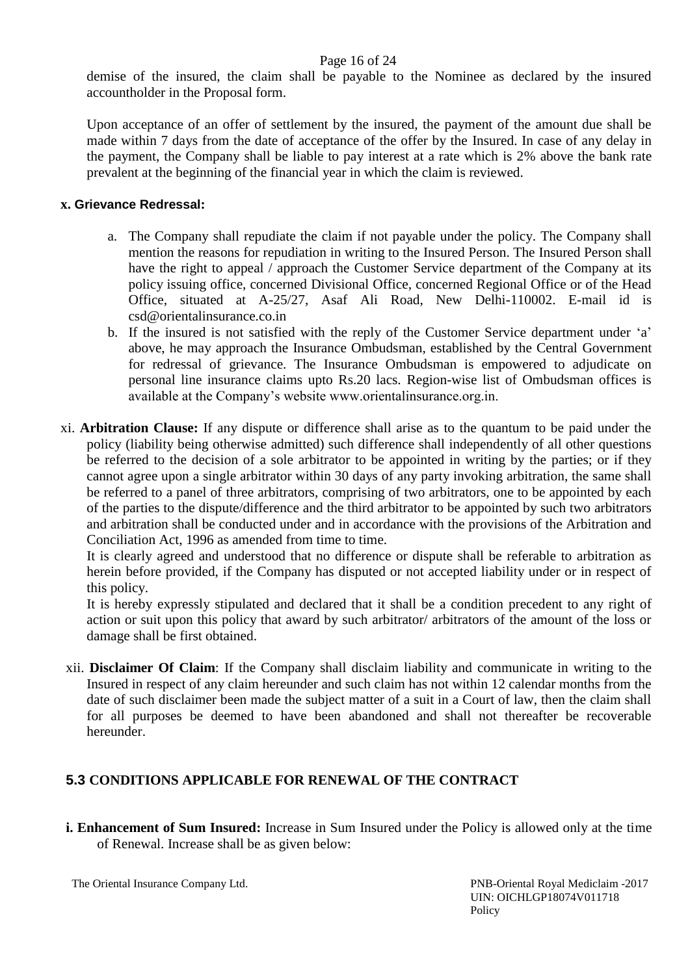### Page 16 of 24

demise of the insured, the claim shall be payable to the Nominee as declared by the insured accountholder in the Proposal form.

Upon acceptance of an offer of settlement by the insured, the payment of the amount due shall be made within 7 days from the date of acceptance of the offer by the Insured. In case of any delay in the payment, the Company shall be liable to pay interest at a rate which is 2% above the bank rate prevalent at the beginning of the financial year in which the claim is reviewed.

### **x. Grievance Redressal:**

- a. The Company shall repudiate the claim if not payable under the policy. The Company shall mention the reasons for repudiation in writing to the Insured Person. The Insured Person shall have the right to appeal / approach the Customer Service department of the Company at its policy issuing office, concerned Divisional Office, concerned Regional Office or of the Head Office, situated at A-25/27, Asaf Ali Road, New Delhi-110002. E-mail id is csd@orientalinsurance.co.in
- b. If the insured is not satisfied with the reply of the Customer Service department under 'a' above, he may approach the Insurance Ombudsman, established by the Central Government for redressal of grievance. The Insurance Ombudsman is empowered to adjudicate on personal line insurance claims upto Rs.20 lacs. Region-wise list of Ombudsman offices is available at the Company's website www.orientalinsurance.org.in.
- xi. **Arbitration Clause:** If any dispute or difference shall arise as to the quantum to be paid under the policy (liability being otherwise admitted) such difference shall independently of all other questions be referred to the decision of a sole arbitrator to be appointed in writing by the parties; or if they cannot agree upon a single arbitrator within 30 days of any party invoking arbitration, the same shall be referred to a panel of three arbitrators, comprising of two arbitrators, one to be appointed by each of the parties to the dispute/difference and the third arbitrator to be appointed by such two arbitrators and arbitration shall be conducted under and in accordance with the provisions of the Arbitration and Conciliation Act, 1996 as amended from time to time.

It is clearly agreed and understood that no difference or dispute shall be referable to arbitration as herein before provided, if the Company has disputed or not accepted liability under or in respect of this policy.

It is hereby expressly stipulated and declared that it shall be a condition precedent to any right of action or suit upon this policy that award by such arbitrator/ arbitrators of the amount of the loss or damage shall be first obtained.

xii. **Disclaimer Of Claim**: If the Company shall disclaim liability and communicate in writing to the Insured in respect of any claim hereunder and such claim has not within 12 calendar months from the date of such disclaimer been made the subject matter of a suit in a Court of law, then the claim shall for all purposes be deemed to have been abandoned and shall not thereafter be recoverable hereunder.

# **5.3 CONDITIONS APPLICABLE FOR RENEWAL OF THE CONTRACT**

**i. Enhancement of Sum Insured:** Increase in Sum Insured under the Policy is allowed only at the time of Renewal. Increase shall be as given below:

The Oriental Insurance Company Ltd. PNB-Oriental Royal Mediclaim -2017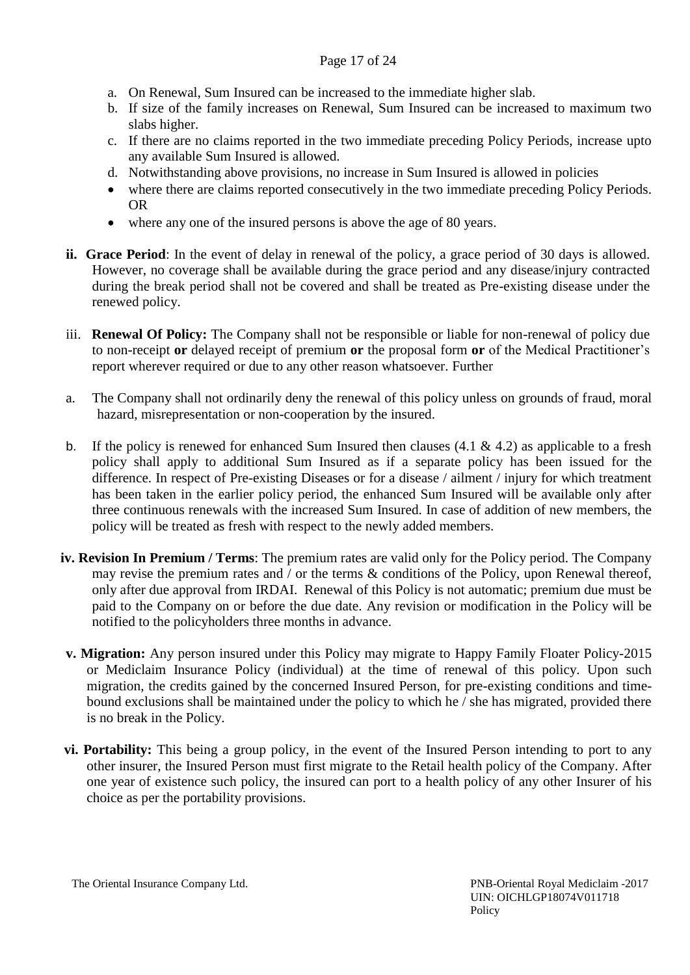## Page 17 of 24

- a. On Renewal, Sum Insured can be increased to the immediate higher slab.
- b. If size of the family increases on Renewal, Sum Insured can be increased to maximum two slabs higher.
- c. If there are no claims reported in the two immediate preceding Policy Periods, increase upto any available Sum Insured is allowed.
- d. Notwithstanding above provisions, no increase in Sum Insured is allowed in policies
- where there are claims reported consecutively in the two immediate preceding Policy Periods. OR
- where any one of the insured persons is above the age of 80 years.
- **ii. Grace Period**: In the event of delay in renewal of the policy, a grace period of 30 days is allowed. However, no coverage shall be available during the grace period and any disease/injury contracted during the break period shall not be covered and shall be treated as Pre-existing disease under the renewed policy.
- iii. **Renewal Of Policy:** The Company shall not be responsible or liable for non-renewal of policy due to non-receipt **or** delayed receipt of premium **or** the proposal form **or** of the Medical Practitioner's report wherever required or due to any other reason whatsoever. Further
- a. The Company shall not ordinarily deny the renewal of this policy unless on grounds of fraud, moral hazard, misrepresentation or non-cooperation by the insured.
- b. If the policy is renewed for enhanced Sum Insured then clauses  $(4.1 \& 4.2)$  as applicable to a fresh policy shall apply to additional Sum Insured as if a separate policy has been issued for the difference. In respect of Pre-existing Diseases or for a disease / ailment / injury for which treatment has been taken in the earlier policy period, the enhanced Sum Insured will be available only after three continuous renewals with the increased Sum Insured. In case of addition of new members, the policy will be treated as fresh with respect to the newly added members.
- **iv. Revision In Premium / Terms**: The premium rates are valid only for the Policy period. The Company may revise the premium rates and / or the terms & conditions of the Policy, upon Renewal thereof, only after due approval from IRDAI. Renewal of this Policy is not automatic; premium due must be paid to the Company on or before the due date. Any revision or modification in the Policy will be notified to the policyholders three months in advance.
- **v. Migration:** Any person insured under this Policy may migrate to Happy Family Floater Policy-2015 or Mediclaim Insurance Policy (individual) at the time of renewal of this policy. Upon such migration, the credits gained by the concerned Insured Person, for pre-existing conditions and timebound exclusions shall be maintained under the policy to which he / she has migrated, provided there is no break in the Policy.
- **vi. Portability:** This being a group policy, in the event of the Insured Person intending to port to any other insurer, the Insured Person must first migrate to the Retail health policy of the Company. After one year of existence such policy, the insured can port to a health policy of any other Insurer of his choice as per the portability provisions.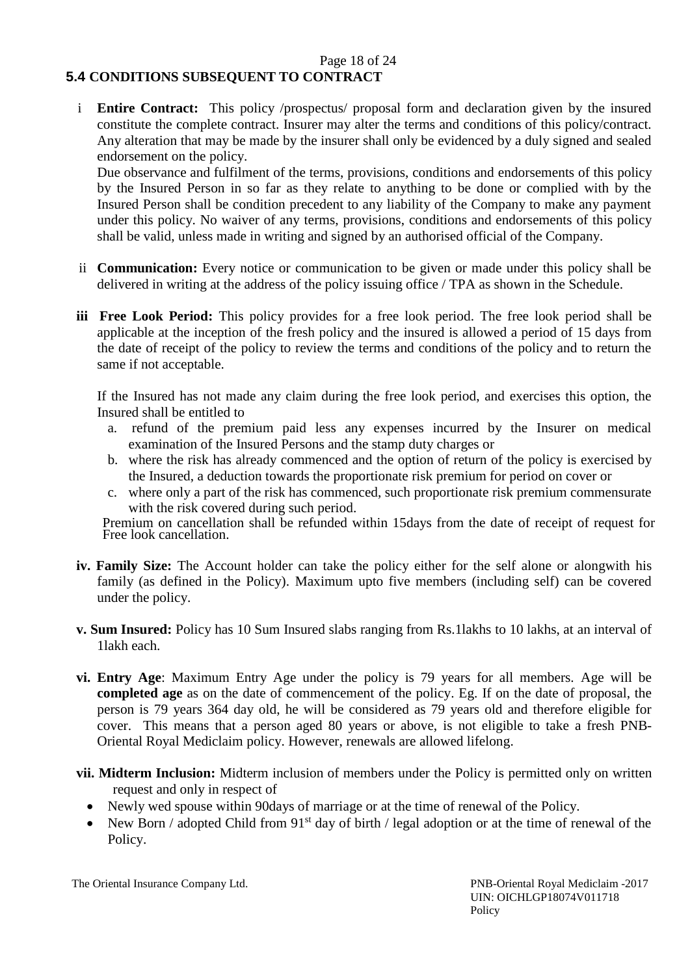### Page 18 of 24 **5.4 CONDITIONS SUBSEQUENT TO CONTRACT**

i **Entire Contract:** This policy /prospectus/ proposal form and declaration given by the insured constitute the complete contract. Insurer may alter the terms and conditions of this policy/contract. Any alteration that may be made by the insurer shall only be evidenced by a duly signed and sealed endorsement on the policy.

Due observance and fulfilment of the terms, provisions, conditions and endorsements of this policy by the Insured Person in so far as they relate to anything to be done or complied with by the Insured Person shall be condition precedent to any liability of the Company to make any payment under this policy. No waiver of any terms, provisions, conditions and endorsements of this policy shall be valid, unless made in writing and signed by an authorised official of the Company.

- ii **Communication:** Every notice or communication to be given or made under this policy shall be delivered in writing at the address of the policy issuing office / TPA as shown in the Schedule.
- **iii Free Look Period:** This policy provides for a free look period. The free look period shall be applicable at the inception of the fresh policy and the insured is allowed a period of 15 days from the date of receipt of the policy to review the terms and conditions of the policy and to return the same if not acceptable.

If the Insured has not made any claim during the free look period, and exercises this option, the Insured shall be entitled to

- a. refund of the premium paid less any expenses incurred by the Insurer on medical examination of the Insured Persons and the stamp duty charges or
- b. where the risk has already commenced and the option of return of the policy is exercised by the Insured, a deduction towards the proportionate risk premium for period on cover or
- c. where only a part of the risk has commenced, such proportionate risk premium commensurate with the risk covered during such period.

Premium on cancellation shall be refunded within 15days from the date of receipt of request for Free look cancellation.

- **iv. Family Size:** The Account holder can take the policy either for the self alone or alongwith his family (as defined in the Policy). Maximum upto five members (including self) can be covered under the policy.
- **v. Sum Insured:** Policy has 10 Sum Insured slabs ranging from Rs.1lakhs to 10 lakhs, at an interval of 1lakh each.
- **vi. Entry Age**: Maximum Entry Age under the policy is 79 years for all members. Age will be **completed age** as on the date of commencement of the policy. Eg. If on the date of proposal, the person is 79 years 364 day old, he will be considered as 79 years old and therefore eligible for cover. This means that a person aged 80 years or above, is not eligible to take a fresh PNB-Oriental Royal Mediclaim policy. However, renewals are allowed lifelong.
- **vii. Midterm Inclusion:** Midterm inclusion of members under the Policy is permitted only on written request and only in respect of
	- Newly wed spouse within 90days of marriage or at the time of renewal of the Policy.
	- New Born / adopted Child from  $91<sup>st</sup>$  day of birth / legal adoption or at the time of renewal of the Policy.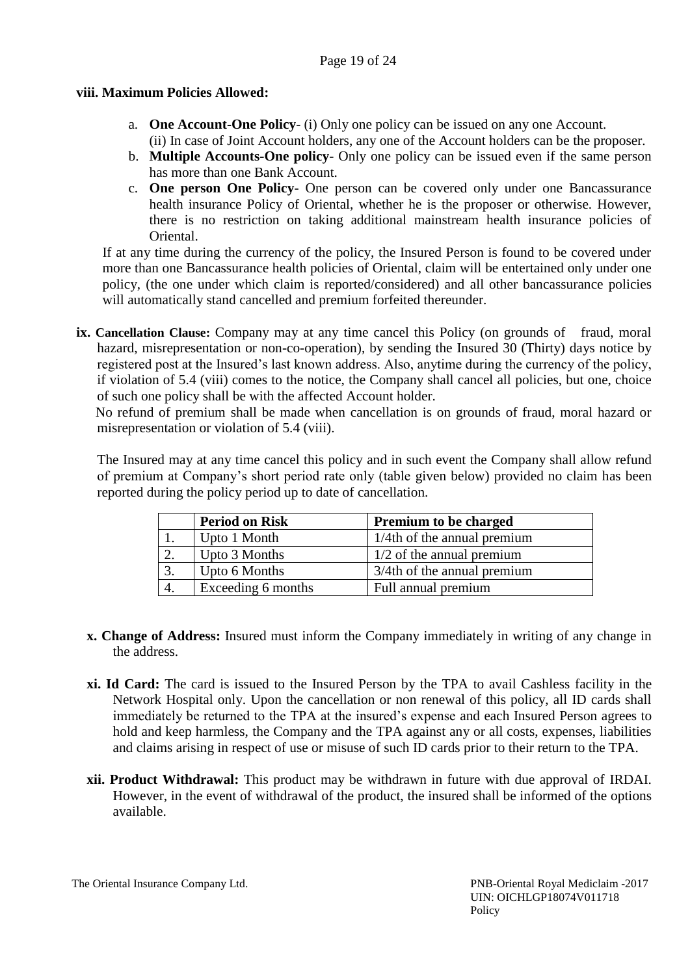## Page 19 of 24

## **viii. Maximum Policies Allowed:**

- a. **One Account-One Policy** (i) Only one policy can be issued on any one Account. (ii) In case of Joint Account holders, any one of the Account holders can be the proposer.
- b. **Multiple Accounts-One policy** Only one policy can be issued even if the same person has more than one Bank Account.
- c. **One person One Policy** One person can be covered only under one Bancassurance health insurance Policy of Oriental, whether he is the proposer or otherwise. However, there is no restriction on taking additional mainstream health insurance policies of Oriental.

If at any time during the currency of the policy, the Insured Person is found to be covered under more than one Bancassurance health policies of Oriental, claim will be entertained only under one policy, (the one under which claim is reported/considered) and all other bancassurance policies will automatically stand cancelled and premium forfeited thereunder.

**ix. Cancellation Clause:** Company may at any time cancel this Policy (on grounds of fraud, moral hazard, misrepresentation or non-co-operation), by sending the Insured 30 (Thirty) days notice by registered post at the Insured's last known address. Also, anytime during the currency of the policy, if violation of 5.4 (viii) comes to the notice, the Company shall cancel all policies, but one, choice of such one policy shall be with the affected Account holder.

No refund of premium shall be made when cancellation is on grounds of fraud, moral hazard or misrepresentation or violation of 5.4 (viii).

The Insured may at any time cancel this policy and in such event the Company shall allow refund of premium at Company's short period rate only (table given below) provided no claim has been reported during the policy period up to date of cancellation.

|    | <b>Period on Risk</b> | <b>Premium to be charged</b>   |
|----|-----------------------|--------------------------------|
|    | Upto 1 Month          | $1/4$ th of the annual premium |
|    | Upto 3 Months         | $1/2$ of the annual premium    |
| 3  | Upto 6 Months         | 3/4th of the annual premium    |
| 4. | Exceeding 6 months    | Full annual premium            |

- **x. Change of Address:** Insured must inform the Company immediately in writing of any change in the address.
- **xi. Id Card:** The card is issued to the Insured Person by the TPA to avail Cashless facility in the Network Hospital only. Upon the cancellation or non renewal of this policy, all ID cards shall immediately be returned to the TPA at the insured's expense and each Insured Person agrees to hold and keep harmless, the Company and the TPA against any or all costs, expenses, liabilities and claims arising in respect of use or misuse of such ID cards prior to their return to the TPA.
- **xii. Product Withdrawal:** This product may be withdrawn in future with due approval of IRDAI. However, in the event of withdrawal of the product, the insured shall be informed of the options available.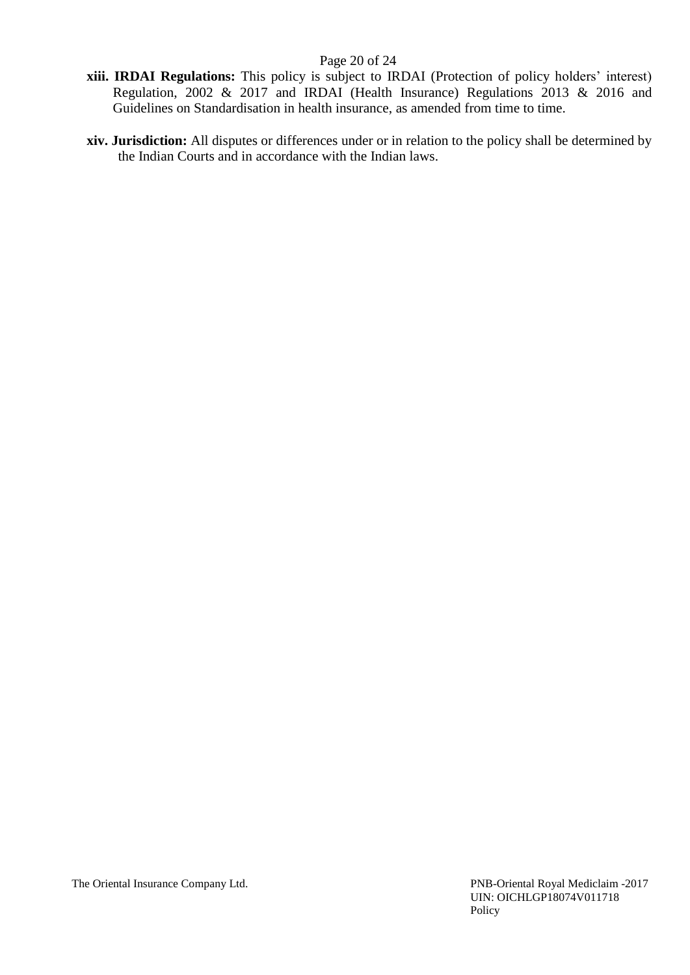## Page 20 of 24

- **xiii. IRDAI Regulations:** This policy is subject to IRDAI (Protection of policy holders' interest) Regulation, 2002 & 2017 and IRDAI (Health Insurance) Regulations 2013 & 2016 and Guidelines on Standardisation in health insurance, as amended from time to time.
- **xiv. Jurisdiction:** All disputes or differences under or in relation to the policy shall be determined by the Indian Courts and in accordance with the Indian laws.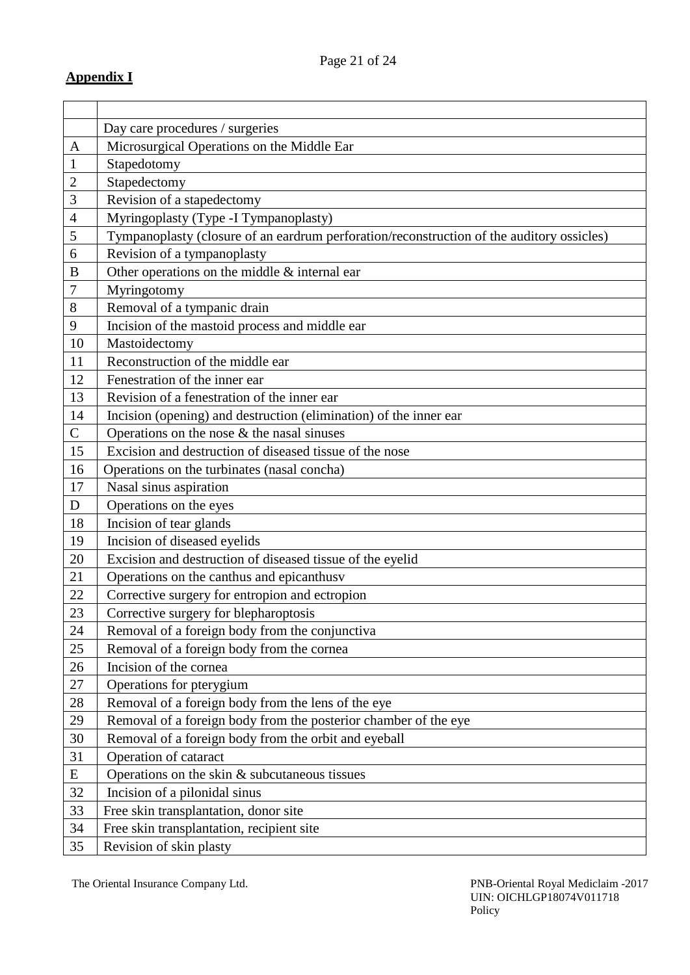|                | Day care procedures / surgeries                                                           |
|----------------|-------------------------------------------------------------------------------------------|
| A              | Microsurgical Operations on the Middle Ear                                                |
| $\mathbf{1}$   | Stapedotomy                                                                               |
| $\mathbf{2}$   | Stapedectomy                                                                              |
| 3              | Revision of a stapedectomy                                                                |
| $\overline{4}$ | Myringoplasty (Type -I Tympanoplasty)                                                     |
| 5              | Tympanoplasty (closure of an eardrum perforation/reconstruction of the auditory ossicles) |
| 6              | Revision of a tympanoplasty                                                               |
| B              | Other operations on the middle & internal ear                                             |
| 7              | Myringotomy                                                                               |
| $8\,$          | Removal of a tympanic drain                                                               |
| 9              | Incision of the mastoid process and middle ear                                            |
| 10             | Mastoidectomy                                                                             |
| 11             | Reconstruction of the middle ear                                                          |
| 12             | Fenestration of the inner ear                                                             |
| 13             | Revision of a fenestration of the inner ear                                               |
| 14             | Incision (opening) and destruction (elimination) of the inner ear                         |
| $\mathsf{C}$   | Operations on the nose $&$ the nasal sinuses                                              |
| 15             | Excision and destruction of diseased tissue of the nose                                   |
| 16             | Operations on the turbinates (nasal concha)                                               |
| 17             | Nasal sinus aspiration                                                                    |
| D              | Operations on the eyes                                                                    |
| 18             | Incision of tear glands                                                                   |
| 19             | Incision of diseased eyelids                                                              |
| 20             | Excision and destruction of diseased tissue of the eyelid                                 |
| 21             | Operations on the canthus and epicanthus v                                                |
| 22             | Corrective surgery for entropion and ectropion                                            |
| 23             | Corrective surgery for blepharoptosis                                                     |
| 24             | Removal of a foreign body from the conjunctiva                                            |
| 25             | Removal of a foreign body from the cornea                                                 |
| 26             | Incision of the cornea                                                                    |
| 27             | Operations for pterygium                                                                  |
| 28             | Removal of a foreign body from the lens of the eye                                        |
| 29             | Removal of a foreign body from the posterior chamber of the eye                           |
| 30             | Removal of a foreign body from the orbit and eyeball                                      |
| 31             | Operation of cataract                                                                     |
| E              | Operations on the skin $&$ subcutaneous tissues                                           |
| 32             | Incision of a pilonidal sinus                                                             |
| 33             | Free skin transplantation, donor site                                                     |
| 34             | Free skin transplantation, recipient site                                                 |
| 35             | Revision of skin plasty                                                                   |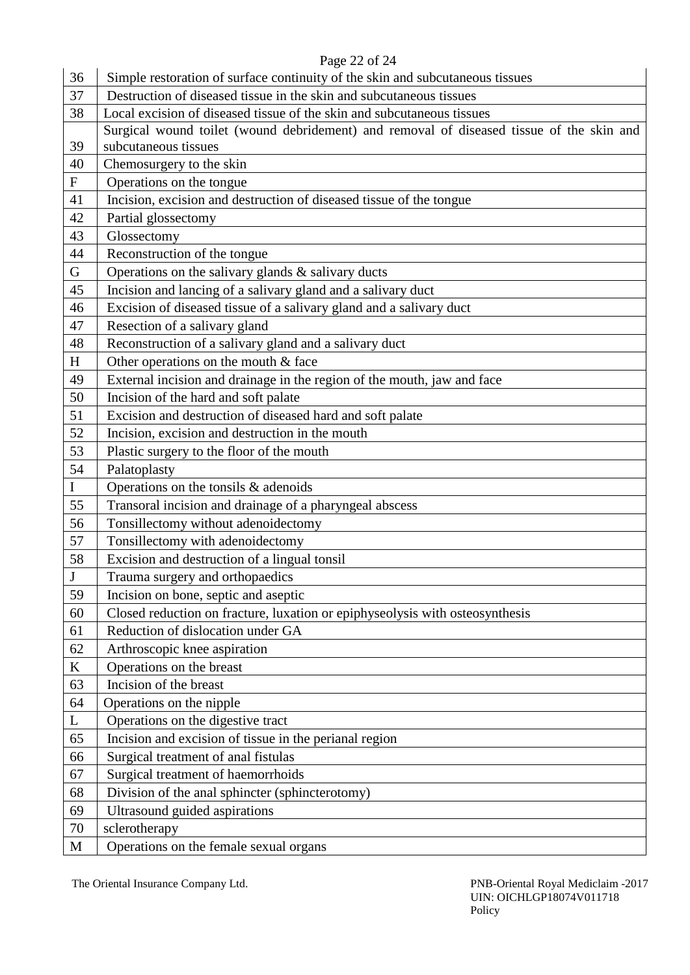# Page 22 of 24

| 36                        | Simple restoration of surface continuity of the skin and subcutaneous tissues            |
|---------------------------|------------------------------------------------------------------------------------------|
| 37                        | Destruction of diseased tissue in the skin and subcutaneous tissues                      |
| 38                        | Local excision of diseased tissue of the skin and subcutaneous tissues                   |
|                           | Surgical wound toilet (wound debridement) and removal of diseased tissue of the skin and |
| 39                        | subcutaneous tissues                                                                     |
| 40                        | Chemosurgery to the skin                                                                 |
| $\boldsymbol{\mathrm{F}}$ | Operations on the tongue                                                                 |
| 41                        | Incision, excision and destruction of diseased tissue of the tongue                      |
| 42                        | Partial glossectomy                                                                      |
| 43                        | Glossectomy                                                                              |
| 44                        | Reconstruction of the tongue                                                             |
| G                         | Operations on the salivary glands & salivary ducts                                       |
| 45                        | Incision and lancing of a salivary gland and a salivary duct                             |
| 46                        | Excision of diseased tissue of a salivary gland and a salivary duct                      |
| 47                        | Resection of a salivary gland                                                            |
| 48                        | Reconstruction of a salivary gland and a salivary duct                                   |
| H                         | Other operations on the mouth $&$ face                                                   |
| 49                        | External incision and drainage in the region of the mouth, jaw and face                  |
| 50                        | Incision of the hard and soft palate                                                     |
| 51                        | Excision and destruction of diseased hard and soft palate                                |
| 52                        | Incision, excision and destruction in the mouth                                          |
| 53                        | Plastic surgery to the floor of the mouth                                                |
| 54                        | Palatoplasty                                                                             |
| $\bf{I}$                  | Operations on the tonsils & adenoids                                                     |
| 55                        | Transoral incision and drainage of a pharyngeal abscess                                  |
| 56                        | Tonsillectomy without adenoidectomy                                                      |
| 57                        | Tonsillectomy with adenoidectomy                                                         |
| 58                        | Excision and destruction of a lingual tonsil                                             |
| $\bf J$                   | Trauma surgery and orthopaedics                                                          |
| 59                        | Incision on bone, septic and aseptic                                                     |
| 60                        | Closed reduction on fracture, luxation or epiphyseolysis with osteosynthesis             |
| 61                        | Reduction of dislocation under GA                                                        |
| 62                        | Arthroscopic knee aspiration                                                             |
| $\bf K$                   | Operations on the breast                                                                 |
| 63                        | Incision of the breast                                                                   |
| 64                        | Operations on the nipple                                                                 |
| L                         | Operations on the digestive tract                                                        |
| 65                        | Incision and excision of tissue in the perianal region                                   |
| 66                        | Surgical treatment of anal fistulas                                                      |
| 67                        | Surgical treatment of haemorrhoids                                                       |
| 68                        | Division of the anal sphincter (sphincterotomy)                                          |
| 69                        | Ultrasound guided aspirations                                                            |
| 70                        | sclerotherapy                                                                            |
| M                         | Operations on the female sexual organs                                                   |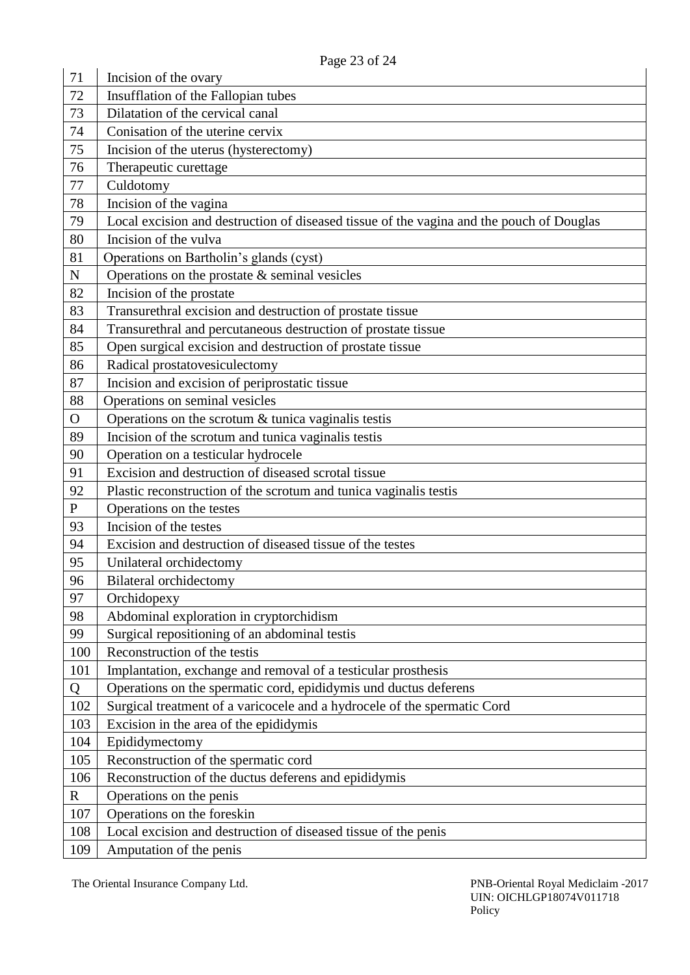| 71           | $1$ agu $2J$ VI $27$<br>Incision of the ovary                                            |
|--------------|------------------------------------------------------------------------------------------|
| 72           | Insufflation of the Fallopian tubes                                                      |
| 73           | Dilatation of the cervical canal                                                         |
| 74           | Conisation of the uterine cervix                                                         |
| 75           | Incision of the uterus (hysterectomy)                                                    |
| 76           |                                                                                          |
| 77           | Therapeutic curettage                                                                    |
|              | Culdotomy                                                                                |
| 78           | Incision of the vagina                                                                   |
| 79           | Local excision and destruction of diseased tissue of the vagina and the pouch of Douglas |
| 80           | Incision of the vulva                                                                    |
| 81           | Operations on Bartholin's glands (cyst)                                                  |
| ${\bf N}$    | Operations on the prostate $&$ seminal vesicles                                          |
| 82           | Incision of the prostate                                                                 |
| 83           | Transurethral excision and destruction of prostate tissue                                |
| 84           | Transurethral and percutaneous destruction of prostate tissue                            |
| 85           | Open surgical excision and destruction of prostate tissue                                |
| 86           | Radical prostatovesiculectomy                                                            |
| 87           | Incision and excision of periprostatic tissue                                            |
| 88           | Operations on seminal vesicles                                                           |
| $\mathbf{O}$ | Operations on the scrotum & tunica vaginalis testis                                      |
| 89           | Incision of the scrotum and tunica vaginalis testis                                      |
| 90           | Operation on a testicular hydrocele                                                      |
| 91           | Excision and destruction of diseased scrotal tissue                                      |
| 92           | Plastic reconstruction of the scrotum and tunica vaginalis testis                        |
| $\mathbf{P}$ | Operations on the testes                                                                 |
| 93           | Incision of the testes                                                                   |
| 94           | Excision and destruction of diseased tissue of the testes                                |
| 95           | Unilateral orchidectomy                                                                  |
| 96           | <b>Bilateral orchidectomy</b>                                                            |
| 97           | Orchidopexy                                                                              |
| 98           | Abdominal exploration in cryptorchidism                                                  |
| 99           | Surgical repositioning of an abdominal testis                                            |
| 100          | Reconstruction of the testis                                                             |
| 101          | Implantation, exchange and removal of a testicular prosthesis                            |
| Q            | Operations on the spermatic cord, epididymis und ductus deferens                         |
| 102          | Surgical treatment of a varicocele and a hydrocele of the spermatic Cord                 |
| 103          | Excision in the area of the epididymis                                                   |
| 104          | Epididymectomy                                                                           |
| 105          | Reconstruction of the spermatic cord                                                     |
| 106          | Reconstruction of the ductus deferens and epididymis                                     |
| $\mathbf R$  | Operations on the penis                                                                  |
| 107          | Operations on the foreskin                                                               |
| 108          | Local excision and destruction of diseased tissue of the penis                           |
| 109          | Amputation of the penis                                                                  |